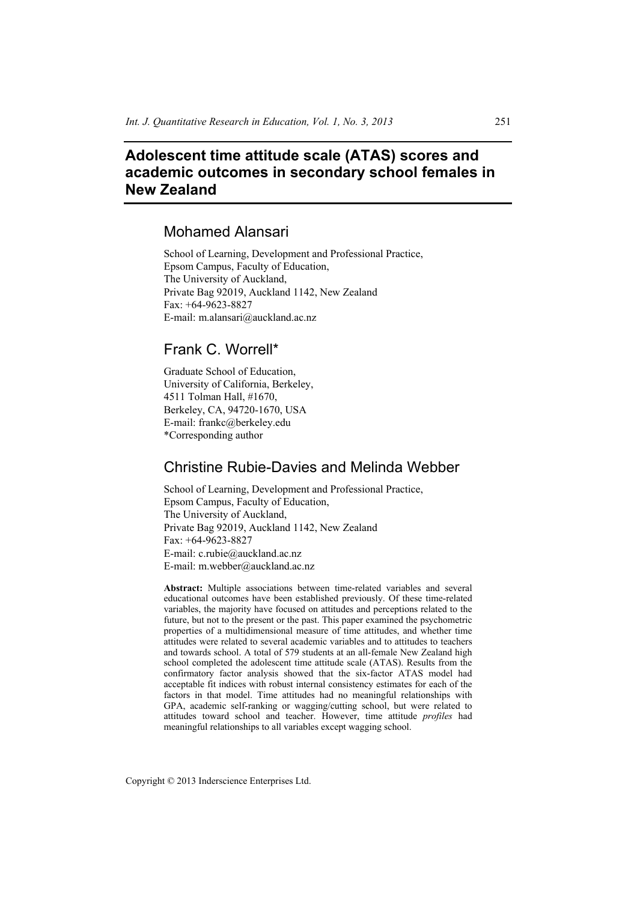# **Adolescent time attitude scale (ATAS) scores and academic outcomes in secondary school females in New Zealand**

# Mohamed Alansari

School of Learning, Development and Professional Practice, Epsom Campus, Faculty of Education, The University of Auckland, Private Bag 92019, Auckland 1142, New Zealand Fax: +64-9623-8827 E-mail: m.alansari@auckland.ac.nz

# Frank C. Worrell\*

Graduate School of Education, University of California, Berkeley, 4511 Tolman Hall, #1670, Berkeley, CA, 94720-1670, USA E-mail: frankc@berkeley.edu \*Corresponding author

# Christine Rubie-Davies and Melinda Webber

School of Learning, Development and Professional Practice, Epsom Campus, Faculty of Education, The University of Auckland, Private Bag 92019, Auckland 1142, New Zealand Fax: +64-9623-8827 E-mail: c.rubie@auckland.ac.nz E-mail: m.webber@auckland.ac.nz

**Abstract:** Multiple associations between time-related variables and several educational outcomes have been established previously. Of these time-related variables, the majority have focused on attitudes and perceptions related to the future, but not to the present or the past. This paper examined the psychometric properties of a multidimensional measure of time attitudes, and whether time attitudes were related to several academic variables and to attitudes to teachers and towards school. A total of 579 students at an all-female New Zealand high school completed the adolescent time attitude scale (ATAS). Results from the confirmatory factor analysis showed that the six-factor ATAS model had acceptable fit indices with robust internal consistency estimates for each of the factors in that model. Time attitudes had no meaningful relationships with GPA, academic self-ranking or wagging/cutting school, but were related to attitudes toward school and teacher. However, time attitude *profiles* had meaningful relationships to all variables except wagging school.

Copyright © 2013 Inderscience Enterprises Ltd.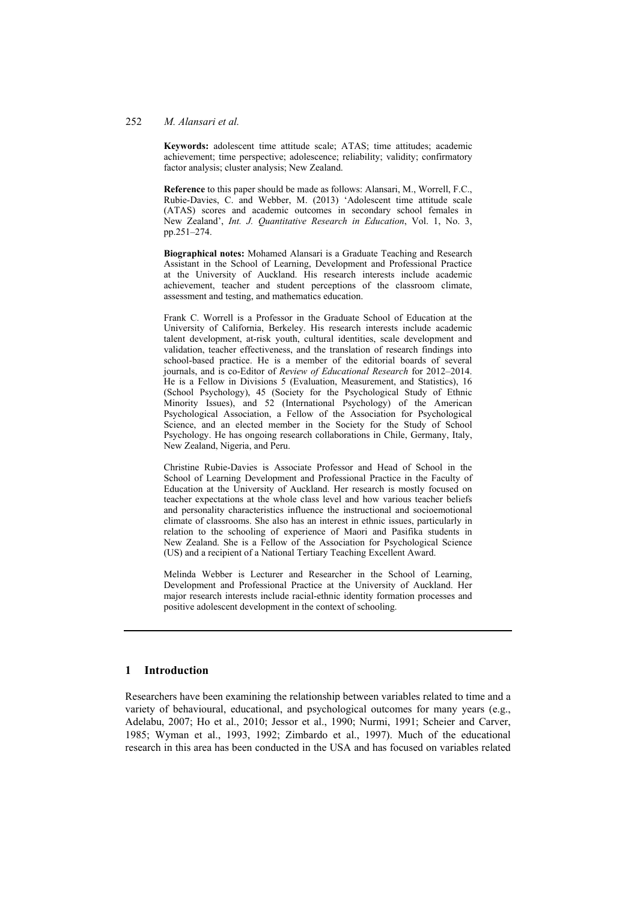**Keywords:** adolescent time attitude scale; ATAS; time attitudes; academic achievement; time perspective; adolescence; reliability; validity; confirmatory factor analysis; cluster analysis; New Zealand.

**Reference** to this paper should be made as follows: Alansari, M., Worrell, F.C., Rubie-Davies, C. and Webber, M. (2013) 'Adolescent time attitude scale (ATAS) scores and academic outcomes in secondary school females in New Zealand', *Int. J. Quantitative Research in Education*, Vol. 1, No. 3, pp.251–274.

**Biographical notes:** Mohamed Alansari is a Graduate Teaching and Research Assistant in the School of Learning, Development and Professional Practice at the University of Auckland. His research interests include academic achievement, teacher and student perceptions of the classroom climate, assessment and testing, and mathematics education.

Frank C. Worrell is a Professor in the Graduate School of Education at the University of California, Berkeley. His research interests include academic talent development, at-risk youth, cultural identities, scale development and validation, teacher effectiveness, and the translation of research findings into school-based practice. He is a member of the editorial boards of several journals, and is co-Editor of *Review of Educational Research* for 2012–2014. He is a Fellow in Divisions 5 (Evaluation, Measurement, and Statistics), 16 (School Psychology), 45 (Society for the Psychological Study of Ethnic Minority Issues), and 52 (International Psychology) of the American Psychological Association, a Fellow of the Association for Psychological Science, and an elected member in the Society for the Study of School Psychology. He has ongoing research collaborations in Chile, Germany, Italy, New Zealand, Nigeria, and Peru.

Christine Rubie-Davies is Associate Professor and Head of School in the School of Learning Development and Professional Practice in the Faculty of Education at the University of Auckland. Her research is mostly focused on teacher expectations at the whole class level and how various teacher beliefs and personality characteristics influence the instructional and socioemotional climate of classrooms. She also has an interest in ethnic issues, particularly in relation to the schooling of experience of Maori and Pasifika students in New Zealand. She is a Fellow of the Association for Psychological Science (US) and a recipient of a National Tertiary Teaching Excellent Award.

Melinda Webber is Lecturer and Researcher in the School of Learning, Development and Professional Practice at the University of Auckland. Her major research interests include racial-ethnic identity formation processes and positive adolescent development in the context of schooling.

### **1 Introduction**

Researchers have been examining the relationship between variables related to time and a variety of behavioural, educational, and psychological outcomes for many years (e.g., Adelabu, 2007; Ho et al., 2010; Jessor et al., 1990; Nurmi, 1991; Scheier and Carver, 1985; Wyman et al., 1993, 1992; Zimbardo et al., 1997). Much of the educational research in this area has been conducted in the USA and has focused on variables related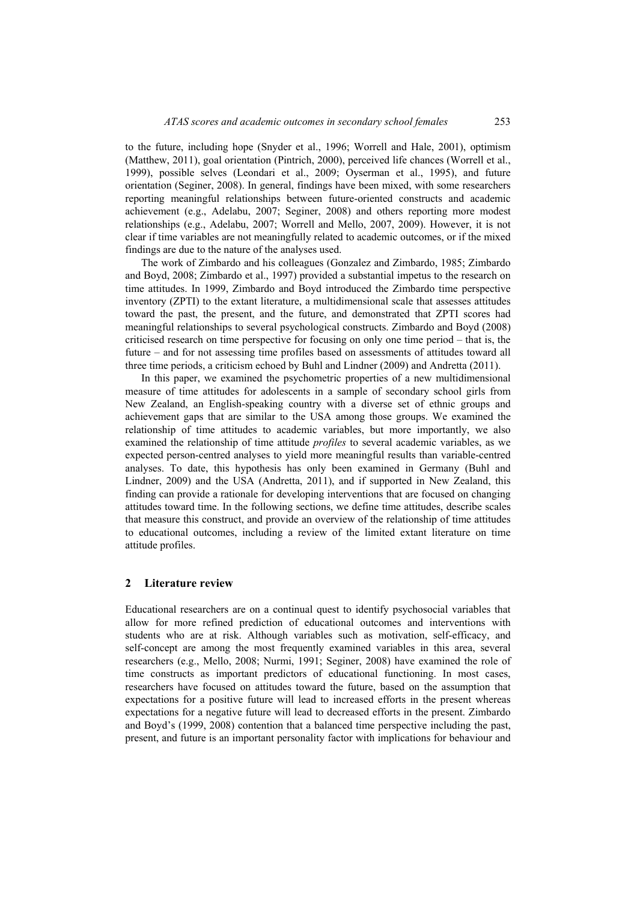to the future, including hope (Snyder et al., 1996; Worrell and Hale, 2001), optimism (Matthew, 2011), goal orientation (Pintrich, 2000), perceived life chances (Worrell et al., 1999), possible selves (Leondari et al., 2009; Oyserman et al., 1995), and future orientation (Seginer, 2008). In general, findings have been mixed, with some researchers reporting meaningful relationships between future-oriented constructs and academic achievement (e.g., Adelabu, 2007; Seginer, 2008) and others reporting more modest relationships (e.g., Adelabu, 2007; Worrell and Mello, 2007, 2009). However, it is not clear if time variables are not meaningfully related to academic outcomes, or if the mixed findings are due to the nature of the analyses used.

The work of Zimbardo and his colleagues (Gonzalez and Zimbardo, 1985; Zimbardo and Boyd, 2008; Zimbardo et al., 1997) provided a substantial impetus to the research on time attitudes. In 1999, Zimbardo and Boyd introduced the Zimbardo time perspective inventory (ZPTI) to the extant literature, a multidimensional scale that assesses attitudes toward the past, the present, and the future, and demonstrated that ZPTI scores had meaningful relationships to several psychological constructs. Zimbardo and Boyd (2008) criticised research on time perspective for focusing on only one time period – that is, the future – and for not assessing time profiles based on assessments of attitudes toward all three time periods, a criticism echoed by Buhl and Lindner (2009) and Andretta (2011).

In this paper, we examined the psychometric properties of a new multidimensional measure of time attitudes for adolescents in a sample of secondary school girls from New Zealand, an English-speaking country with a diverse set of ethnic groups and achievement gaps that are similar to the USA among those groups. We examined the relationship of time attitudes to academic variables, but more importantly, we also examined the relationship of time attitude *profiles* to several academic variables, as we expected person-centred analyses to yield more meaningful results than variable-centred analyses. To date, this hypothesis has only been examined in Germany (Buhl and Lindner, 2009) and the USA (Andretta, 2011), and if supported in New Zealand, this finding can provide a rationale for developing interventions that are focused on changing attitudes toward time. In the following sections, we define time attitudes, describe scales that measure this construct, and provide an overview of the relationship of time attitudes to educational outcomes, including a review of the limited extant literature on time attitude profiles.

### **2 Literature review**

Educational researchers are on a continual quest to identify psychosocial variables that allow for more refined prediction of educational outcomes and interventions with students who are at risk. Although variables such as motivation, self-efficacy, and self-concept are among the most frequently examined variables in this area, several researchers (e.g., Mello, 2008; Nurmi, 1991; Seginer, 2008) have examined the role of time constructs as important predictors of educational functioning. In most cases, researchers have focused on attitudes toward the future, based on the assumption that expectations for a positive future will lead to increased efforts in the present whereas expectations for a negative future will lead to decreased efforts in the present. Zimbardo and Boyd's (1999, 2008) contention that a balanced time perspective including the past, present, and future is an important personality factor with implications for behaviour and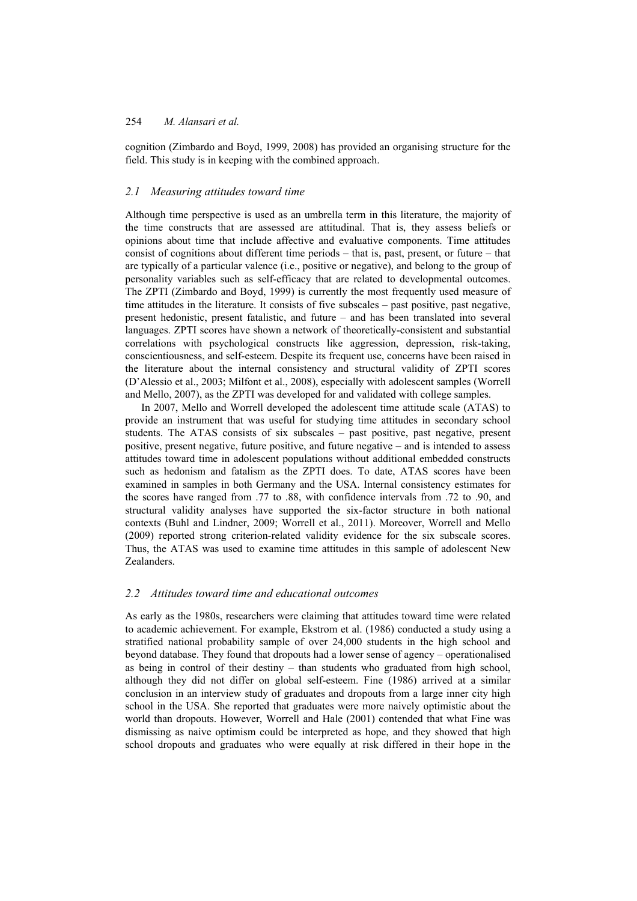cognition (Zimbardo and Boyd, 1999, 2008) has provided an organising structure for the field. This study is in keeping with the combined approach.

### *2.1 Measuring attitudes toward time*

Although time perspective is used as an umbrella term in this literature, the majority of the time constructs that are assessed are attitudinal. That is, they assess beliefs or opinions about time that include affective and evaluative components. Time attitudes consist of cognitions about different time periods – that is, past, present, or future – that are typically of a particular valence (i.e., positive or negative), and belong to the group of personality variables such as self-efficacy that are related to developmental outcomes. The ZPTI (Zimbardo and Boyd, 1999) is currently the most frequently used measure of time attitudes in the literature. It consists of five subscales – past positive, past negative, present hedonistic, present fatalistic, and future – and has been translated into several languages. ZPTI scores have shown a network of theoretically-consistent and substantial correlations with psychological constructs like aggression, depression, risk-taking, conscientiousness, and self-esteem. Despite its frequent use, concerns have been raised in the literature about the internal consistency and structural validity of ZPTI scores (D'Alessio et al., 2003; Milfont et al., 2008), especially with adolescent samples (Worrell and Mello, 2007), as the ZPTI was developed for and validated with college samples.

In 2007, Mello and Worrell developed the adolescent time attitude scale (ATAS) to provide an instrument that was useful for studying time attitudes in secondary school students. The ATAS consists of six subscales – past positive, past negative, present positive, present negative, future positive, and future negative – and is intended to assess attitudes toward time in adolescent populations without additional embedded constructs such as hedonism and fatalism as the ZPTI does. To date, ATAS scores have been examined in samples in both Germany and the USA. Internal consistency estimates for the scores have ranged from .77 to .88, with confidence intervals from .72 to .90, and structural validity analyses have supported the six-factor structure in both national contexts (Buhl and Lindner, 2009; Worrell et al., 2011). Moreover, Worrell and Mello (2009) reported strong criterion-related validity evidence for the six subscale scores. Thus, the ATAS was used to examine time attitudes in this sample of adolescent New Zealanders.

### *2.2 Attitudes toward time and educational outcomes*

As early as the 1980s, researchers were claiming that attitudes toward time were related to academic achievement. For example, Ekstrom et al. (1986) conducted a study using a stratified national probability sample of over 24,000 students in the high school and beyond database. They found that dropouts had a lower sense of agency – operationalised as being in control of their destiny – than students who graduated from high school, although they did not differ on global self-esteem. Fine (1986) arrived at a similar conclusion in an interview study of graduates and dropouts from a large inner city high school in the USA. She reported that graduates were more naively optimistic about the world than dropouts. However, Worrell and Hale (2001) contended that what Fine was dismissing as naive optimism could be interpreted as hope, and they showed that high school dropouts and graduates who were equally at risk differed in their hope in the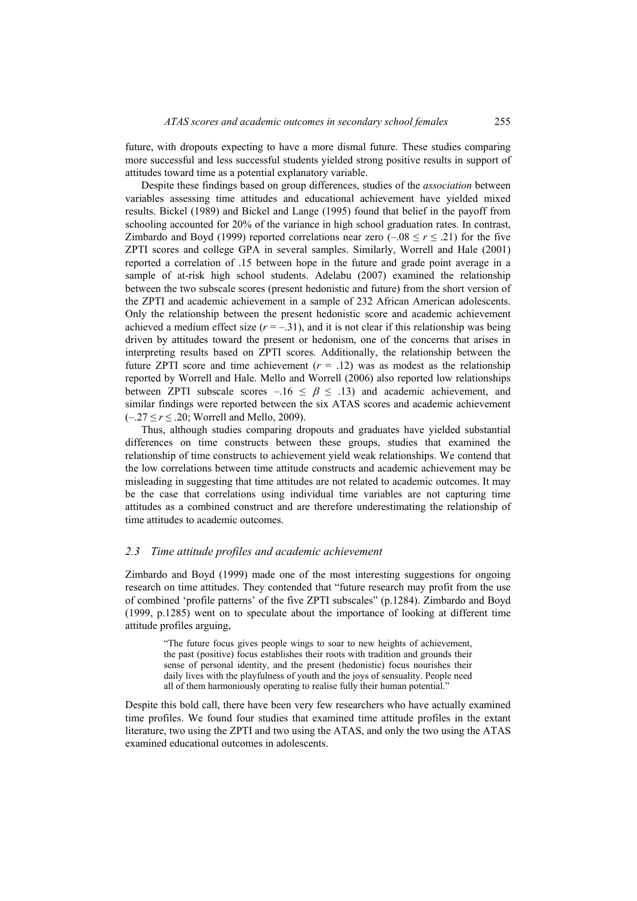future, with dropouts expecting to have a more dismal future. These studies comparing more successful and less successful students yielded strong positive results in support of attitudes toward time as a potential explanatory variable.

Despite these findings based on group differences, studies of the *association* between variables assessing time attitudes and educational achievement have yielded mixed results. Bickel (1989) and Bickel and Lange (1995) found that belief in the payoff from schooling accounted for 20% of the variance in high school graduation rates. In contrast, Zimbardo and Boyd (1999) reported correlations near zero ( $-0.08 \le r \le .21$ ) for the five ZPTI scores and college GPA in several samples. Similarly, Worrell and Hale (2001) reported a correlation of .15 between hope in the future and grade point average in a sample of at-risk high school students. Adelabu (2007) examined the relationship between the two subscale scores (present hedonistic and future) from the short version of the ZPTI and academic achievement in a sample of 232 African American adolescents. Only the relationship between the present hedonistic score and academic achievement achieved a medium effect size  $(r = -0.31)$ , and it is not clear if this relationship was being driven by attitudes toward the present or hedonism, one of the concerns that arises in interpreting results based on ZPTI scores. Additionally, the relationship between the future ZPTI score and time achievement  $(r = .12)$  was as modest as the relationship reported by Worrell and Hale. Mello and Worrell (2006) also reported low relationships between ZPTI subscale scores –.16  $\leq \beta \leq$  .13) and academic achievement, and similar findings were reported between the six ATAS scores and academic achievement  $(-.27 \le r \le .20$ ; Worrell and Mello, 2009).

Thus, although studies comparing dropouts and graduates have yielded substantial differences on time constructs between these groups, studies that examined the relationship of time constructs to achievement yield weak relationships. We contend that the low correlations between time attitude constructs and academic achievement may be misleading in suggesting that time attitudes are not related to academic outcomes. It may be the case that correlations using individual time variables are not capturing time attitudes as a combined construct and are therefore underestimating the relationship of time attitudes to academic outcomes.

#### *2.3 Time attitude profiles and academic achievement*

Zimbardo and Boyd (1999) made one of the most interesting suggestions for ongoing research on time attitudes. They contended that "future research may profit from the use of combined 'profile patterns' of the five ZPTI subscales" (p.1284). Zimbardo and Boyd (1999, p.1285) went on to speculate about the importance of looking at different time attitude profiles arguing,

"The future focus gives people wings to soar to new heights of achievement, the past (positive) focus establishes their roots with tradition and grounds their sense of personal identity, and the present (hedonistic) focus nourishes their daily lives with the playfulness of youth and the joys of sensuality. People need all of them harmoniously operating to realise fully their human potential."

Despite this bold call, there have been very few researchers who have actually examined time profiles. We found four studies that examined time attitude profiles in the extant literature, two using the ZPTI and two using the ATAS, and only the two using the ATAS examined educational outcomes in adolescents.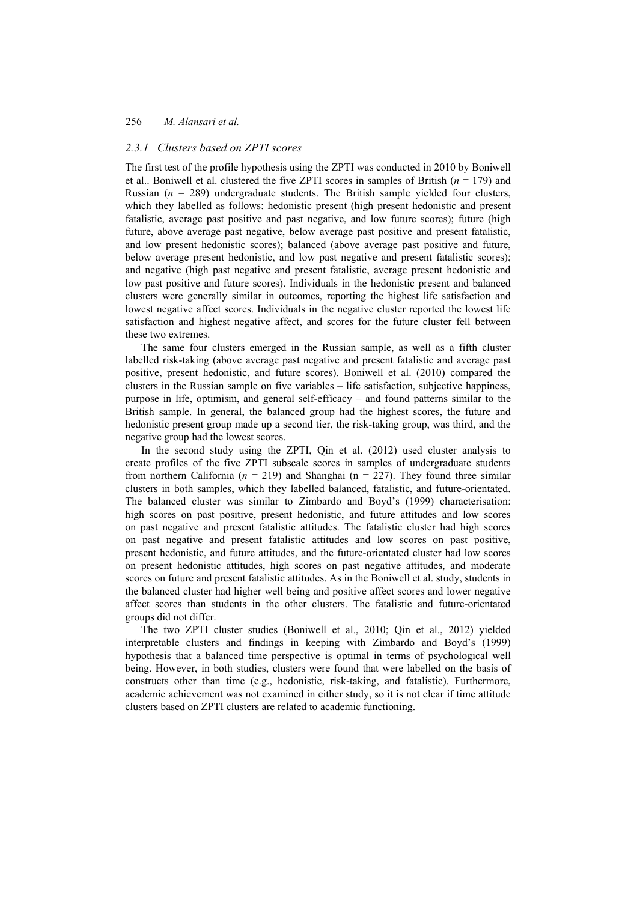### *2.3.1 Clusters based on ZPTI scores*

The first test of the profile hypothesis using the ZPTI was conducted in 2010 by Boniwell et al.. Boniwell et al. clustered the five ZPTI scores in samples of British (*n* = 179) and Russian  $(n = 289)$  undergraduate students. The British sample yielded four clusters, which they labelled as follows: hedonistic present (high present hedonistic and present fatalistic, average past positive and past negative, and low future scores); future (high future, above average past negative, below average past positive and present fatalistic, and low present hedonistic scores); balanced (above average past positive and future, below average present hedonistic, and low past negative and present fatalistic scores); and negative (high past negative and present fatalistic, average present hedonistic and low past positive and future scores). Individuals in the hedonistic present and balanced clusters were generally similar in outcomes, reporting the highest life satisfaction and lowest negative affect scores. Individuals in the negative cluster reported the lowest life satisfaction and highest negative affect, and scores for the future cluster fell between these two extremes.

The same four clusters emerged in the Russian sample, as well as a fifth cluster labelled risk-taking (above average past negative and present fatalistic and average past positive, present hedonistic, and future scores). Boniwell et al. (2010) compared the clusters in the Russian sample on five variables – life satisfaction, subjective happiness, purpose in life, optimism, and general self-efficacy – and found patterns similar to the British sample. In general, the balanced group had the highest scores, the future and hedonistic present group made up a second tier, the risk-taking group, was third, and the negative group had the lowest scores.

In the second study using the ZPTI, Qin et al. (2012) used cluster analysis to create profiles of the five ZPTI subscale scores in samples of undergraduate students from northern California ( $n = 219$ ) and Shanghai ( $n = 227$ ). They found three similar clusters in both samples, which they labelled balanced, fatalistic, and future-orientated. The balanced cluster was similar to Zimbardo and Boyd's (1999) characterisation: high scores on past positive, present hedonistic, and future attitudes and low scores on past negative and present fatalistic attitudes. The fatalistic cluster had high scores on past negative and present fatalistic attitudes and low scores on past positive, present hedonistic, and future attitudes, and the future-orientated cluster had low scores on present hedonistic attitudes, high scores on past negative attitudes, and moderate scores on future and present fatalistic attitudes. As in the Boniwell et al. study, students in the balanced cluster had higher well being and positive affect scores and lower negative affect scores than students in the other clusters. The fatalistic and future-orientated groups did not differ.

The two ZPTI cluster studies (Boniwell et al., 2010; Qin et al., 2012) yielded interpretable clusters and findings in keeping with Zimbardo and Boyd's (1999) hypothesis that a balanced time perspective is optimal in terms of psychological well being. However, in both studies, clusters were found that were labelled on the basis of constructs other than time (e.g., hedonistic, risk-taking, and fatalistic). Furthermore, academic achievement was not examined in either study, so it is not clear if time attitude clusters based on ZPTI clusters are related to academic functioning.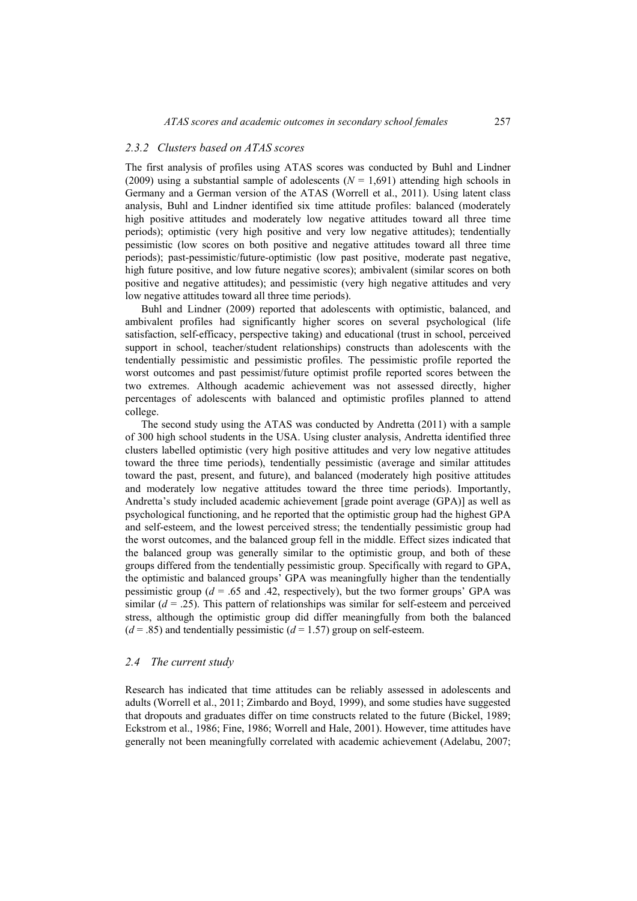## *2.3.2 Clusters based on ATAS scores*

The first analysis of profiles using ATAS scores was conducted by Buhl and Lindner (2009) using a substantial sample of adolescents  $(N = 1.691)$  attending high schools in Germany and a German version of the ATAS (Worrell et al., 2011). Using latent class analysis, Buhl and Lindner identified six time attitude profiles: balanced (moderately high positive attitudes and moderately low negative attitudes toward all three time periods); optimistic (very high positive and very low negative attitudes); tendentially pessimistic (low scores on both positive and negative attitudes toward all three time periods); past-pessimistic/future-optimistic (low past positive, moderate past negative, high future positive, and low future negative scores); ambivalent (similar scores on both positive and negative attitudes); and pessimistic (very high negative attitudes and very low negative attitudes toward all three time periods).

Buhl and Lindner (2009) reported that adolescents with optimistic, balanced, and ambivalent profiles had significantly higher scores on several psychological (life satisfaction, self-efficacy, perspective taking) and educational (trust in school, perceived support in school, teacher/student relationships) constructs than adolescents with the tendentially pessimistic and pessimistic profiles. The pessimistic profile reported the worst outcomes and past pessimist/future optimist profile reported scores between the two extremes. Although academic achievement was not assessed directly, higher percentages of adolescents with balanced and optimistic profiles planned to attend college.

The second study using the ATAS was conducted by Andretta (2011) with a sample of 300 high school students in the USA. Using cluster analysis, Andretta identified three clusters labelled optimistic (very high positive attitudes and very low negative attitudes toward the three time periods), tendentially pessimistic (average and similar attitudes toward the past, present, and future), and balanced (moderately high positive attitudes and moderately low negative attitudes toward the three time periods). Importantly, Andretta's study included academic achievement [grade point average (GPA)] as well as psychological functioning, and he reported that the optimistic group had the highest GPA and self-esteem, and the lowest perceived stress; the tendentially pessimistic group had the worst outcomes, and the balanced group fell in the middle. Effect sizes indicated that the balanced group was generally similar to the optimistic group, and both of these groups differed from the tendentially pessimistic group. Specifically with regard to GPA, the optimistic and balanced groups' GPA was meaningfully higher than the tendentially pessimistic group ( $d = .65$  and .42, respectively), but the two former groups' GPA was similar  $(d = 0.25)$ . This pattern of relationships was similar for self-esteem and perceived stress, although the optimistic group did differ meaningfully from both the balanced  $(d = .85)$  and tendentially pessimistic  $(d = 1.57)$  group on self-esteem.

## *2.4 The current study*

Research has indicated that time attitudes can be reliably assessed in adolescents and adults (Worrell et al., 2011; Zimbardo and Boyd, 1999), and some studies have suggested that dropouts and graduates differ on time constructs related to the future (Bickel, 1989; Eckstrom et al., 1986; Fine, 1986; Worrell and Hale, 2001). However, time attitudes have generally not been meaningfully correlated with academic achievement (Adelabu, 2007;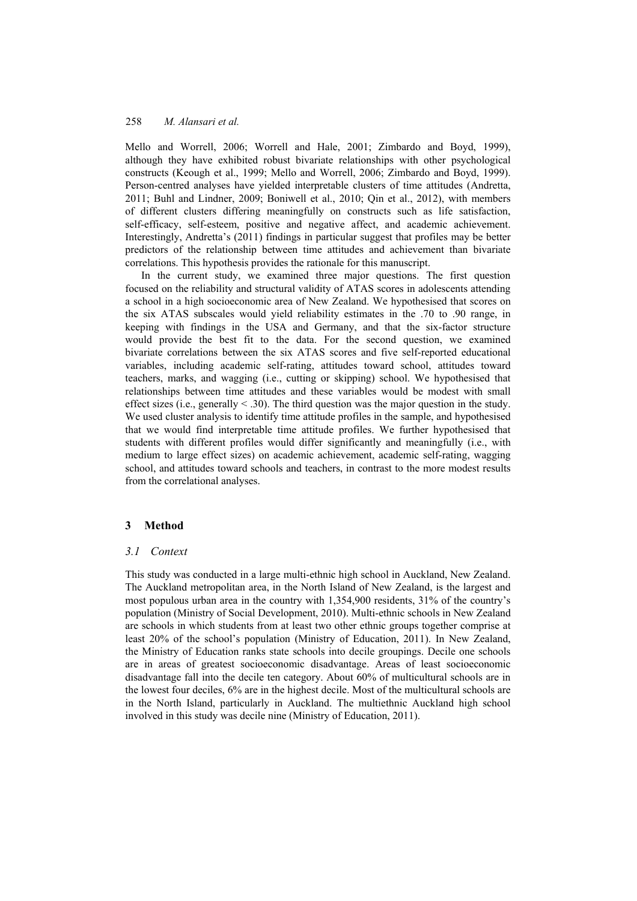Mello and Worrell, 2006; Worrell and Hale, 2001; Zimbardo and Boyd, 1999), although they have exhibited robust bivariate relationships with other psychological constructs (Keough et al., 1999; Mello and Worrell, 2006; Zimbardo and Boyd, 1999). Person-centred analyses have yielded interpretable clusters of time attitudes (Andretta, 2011; Buhl and Lindner, 2009; Boniwell et al., 2010; Qin et al., 2012), with members of different clusters differing meaningfully on constructs such as life satisfaction, self-efficacy, self-esteem, positive and negative affect, and academic achievement. Interestingly, Andretta's (2011) findings in particular suggest that profiles may be better predictors of the relationship between time attitudes and achievement than bivariate correlations. This hypothesis provides the rationale for this manuscript.

In the current study, we examined three major questions. The first question focused on the reliability and structural validity of ATAS scores in adolescents attending a school in a high socioeconomic area of New Zealand. We hypothesised that scores on the six ATAS subscales would yield reliability estimates in the .70 to .90 range, in keeping with findings in the USA and Germany, and that the six-factor structure would provide the best fit to the data. For the second question, we examined bivariate correlations between the six ATAS scores and five self-reported educational variables, including academic self-rating, attitudes toward school, attitudes toward teachers, marks, and wagging (i.e., cutting or skipping) school. We hypothesised that relationships between time attitudes and these variables would be modest with small effect sizes (i.e., generally  $\leq$  .30). The third question was the major question in the study. We used cluster analysis to identify time attitude profiles in the sample, and hypothesised that we would find interpretable time attitude profiles. We further hypothesised that students with different profiles would differ significantly and meaningfully (i.e., with medium to large effect sizes) on academic achievement, academic self-rating, wagging school, and attitudes toward schools and teachers, in contrast to the more modest results from the correlational analyses.

### **3 Method**

#### *3.1 Context*

This study was conducted in a large multi-ethnic high school in Auckland, New Zealand. The Auckland metropolitan area, in the North Island of New Zealand, is the largest and most populous urban area in the country with 1,354,900 residents, 31% of the country's population (Ministry of Social Development, 2010). Multi-ethnic schools in New Zealand are schools in which students from at least two other ethnic groups together comprise at least 20% of the school's population (Ministry of Education, 2011). In New Zealand, the Ministry of Education ranks state schools into decile groupings. Decile one schools are in areas of greatest socioeconomic disadvantage. Areas of least socioeconomic disadvantage fall into the decile ten category. About 60% of multicultural schools are in the lowest four deciles, 6% are in the highest decile. Most of the multicultural schools are in the North Island, particularly in Auckland. The multiethnic Auckland high school involved in this study was decile nine (Ministry of Education, 2011).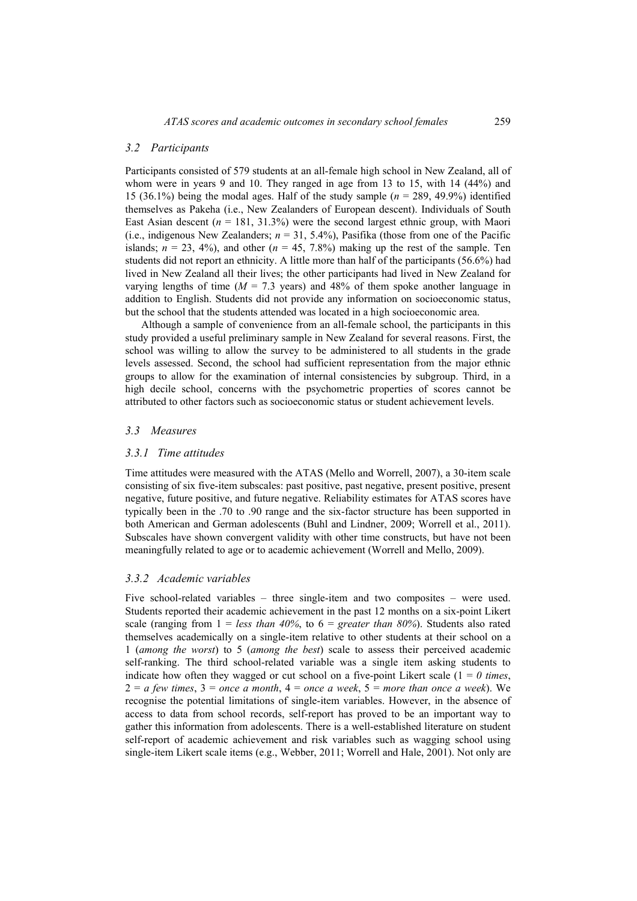### *3.2 Participants*

Participants consisted of 579 students at an all-female high school in New Zealand, all of whom were in years 9 and 10. They ranged in age from 13 to 15, with 14 (44%) and 15 (36.1%) being the modal ages. Half of the study sample  $(n = 289, 49.9\%)$  identified themselves as Pakeha (i.e., New Zealanders of European descent). Individuals of South East Asian descent  $(n = 181, 31.3%)$  were the second largest ethnic group, with Maori (i.e., indigenous New Zealanders;  $n = 31, 5.4\%$ ), Pasifika (those from one of the Pacific islands;  $n = 23$ , 4%), and other ( $n = 45$ , 7.8%) making up the rest of the sample. Ten students did not report an ethnicity. A little more than half of the participants (56.6%) had lived in New Zealand all their lives; the other participants had lived in New Zealand for varying lengths of time ( $M = 7.3$  years) and 48% of them spoke another language in addition to English. Students did not provide any information on socioeconomic status, but the school that the students attended was located in a high socioeconomic area.

Although a sample of convenience from an all-female school, the participants in this study provided a useful preliminary sample in New Zealand for several reasons. First, the school was willing to allow the survey to be administered to all students in the grade levels assessed. Second, the school had sufficient representation from the major ethnic groups to allow for the examination of internal consistencies by subgroup. Third, in a high decile school, concerns with the psychometric properties of scores cannot be attributed to other factors such as socioeconomic status or student achievement levels.

### *3.3 Measures*

### *3.3.1 Time attitudes*

Time attitudes were measured with the ATAS (Mello and Worrell, 2007), a 30-item scale consisting of six five-item subscales: past positive, past negative, present positive, present negative, future positive, and future negative. Reliability estimates for ATAS scores have typically been in the .70 to .90 range and the six-factor structure has been supported in both American and German adolescents (Buhl and Lindner, 2009; Worrell et al., 2011). Subscales have shown convergent validity with other time constructs, but have not been meaningfully related to age or to academic achievement (Worrell and Mello, 2009).

#### *3.3.2 Academic variables*

Five school-related variables – three single-item and two composites – were used. Students reported their academic achievement in the past 12 months on a six-point Likert scale (ranging from  $1 = less than 40\%$ , to  $6 = greater than 80\%$ ). Students also rated themselves academically on a single-item relative to other students at their school on a 1 (*among the worst*) to 5 (*among the best*) scale to assess their perceived academic self-ranking. The third school-related variable was a single item asking students to indicate how often they wagged or cut school on a five-point Likert scale  $(1 = 0$  times, 2 = *a few times*, 3 = *once a month*, 4 = *once a week*, 5 = *more than once a week*). We recognise the potential limitations of single-item variables. However, in the absence of access to data from school records, self-report has proved to be an important way to gather this information from adolescents. There is a well-established literature on student self-report of academic achievement and risk variables such as wagging school using single-item Likert scale items (e.g., Webber, 2011; Worrell and Hale, 2001). Not only are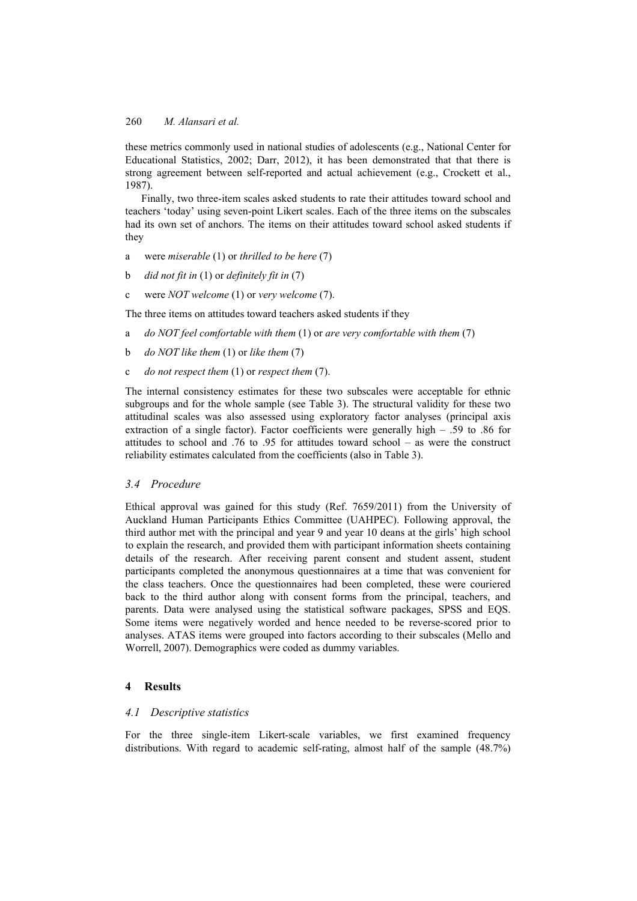these metrics commonly used in national studies of adolescents (e.g., National Center for Educational Statistics, 2002; Darr, 2012), it has been demonstrated that that there is strong agreement between self-reported and actual achievement (e.g., Crockett et al., 1987).

Finally, two three-item scales asked students to rate their attitudes toward school and teachers 'today' using seven-point Likert scales. Each of the three items on the subscales had its own set of anchors. The items on their attitudes toward school asked students if they

- a were *miserable* (1) or *thrilled to be here* (7)
- b *did not fit in* (1) or *definitely fit in* (7)
- c were *NOT welcome* (1) or *very welcome* (7).

The three items on attitudes toward teachers asked students if they

- a *do NOT feel comfortable with them* (1) or *are very comfortable with them* (7)
- b *do NOT like them* (1) or *like them* (7)
- c *do not respect them* (1) or *respect them* (7).

The internal consistency estimates for these two subscales were acceptable for ethnic subgroups and for the whole sample (see Table 3). The structural validity for these two attitudinal scales was also assessed using exploratory factor analyses (principal axis extraction of a single factor). Factor coefficients were generally high – .59 to .86 for attitudes to school and .76 to .95 for attitudes toward school – as were the construct reliability estimates calculated from the coefficients (also in Table 3).

### *3.4 Procedure*

Ethical approval was gained for this study (Ref. 7659/2011) from the University of Auckland Human Participants Ethics Committee (UAHPEC). Following approval, the third author met with the principal and year 9 and year 10 deans at the girls' high school to explain the research, and provided them with participant information sheets containing details of the research. After receiving parent consent and student assent, student participants completed the anonymous questionnaires at a time that was convenient for the class teachers. Once the questionnaires had been completed, these were couriered back to the third author along with consent forms from the principal, teachers, and parents. Data were analysed using the statistical software packages, SPSS and EQS. Some items were negatively worded and hence needed to be reverse-scored prior to analyses. ATAS items were grouped into factors according to their subscales (Mello and Worrell, 2007). Demographics were coded as dummy variables.

### **4 Results**

### *4.1 Descriptive statistics*

For the three single-item Likert-scale variables, we first examined frequency distributions. With regard to academic self-rating, almost half of the sample (48.7%)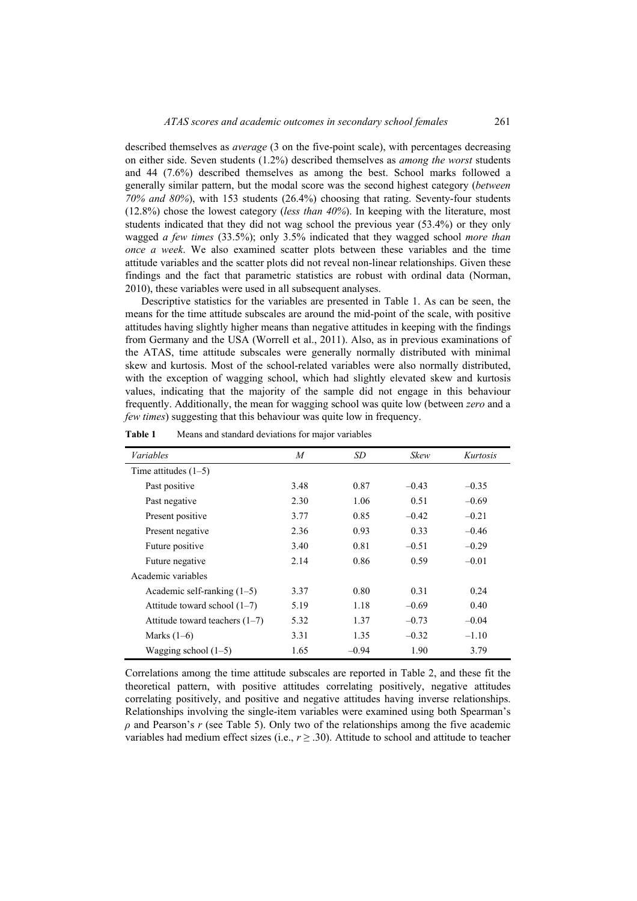described themselves as *average* (3 on the five-point scale), with percentages decreasing on either side. Seven students (1.2%) described themselves as *among the worst* students and 44 (7.6%) described themselves as among the best. School marks followed a generally similar pattern, but the modal score was the second highest category (*between 70% and 80%*), with 153 students (26.4%) choosing that rating. Seventy-four students (12.8%) chose the lowest category (*less than 40%*). In keeping with the literature, most students indicated that they did not wag school the previous year (53.4%) or they only wagged *a few times* (33.5%); only 3.5% indicated that they wagged school *more than once a week*. We also examined scatter plots between these variables and the time attitude variables and the scatter plots did not reveal non-linear relationships. Given these findings and the fact that parametric statistics are robust with ordinal data (Norman, 2010), these variables were used in all subsequent analyses.

Descriptive statistics for the variables are presented in Table 1. As can be seen, the means for the time attitude subscales are around the mid-point of the scale, with positive attitudes having slightly higher means than negative attitudes in keeping with the findings from Germany and the USA (Worrell et al., 2011). Also, as in previous examinations of the ATAS, time attitude subscales were generally normally distributed with minimal skew and kurtosis. Most of the school-related variables were also normally distributed, with the exception of wagging school, which had slightly elevated skew and kurtosis values, indicating that the majority of the sample did not engage in this behaviour frequently. Additionally, the mean for wagging school was quite low (between *zero* and a *few times*) suggesting that this behaviour was quite low in frequency.

| Variables                        | $\overline{M}$ | SD      | Skew    | Kurtosis |
|----------------------------------|----------------|---------|---------|----------|
| Time attitudes $(1-5)$           |                |         |         |          |
| Past positive                    | 3.48           | 0.87    | $-0.43$ | $-0.35$  |
| Past negative                    | 2.30           | 1.06    | 0.51    | $-0.69$  |
| Present positive                 | 3.77           | 0.85    | $-0.42$ | $-0.21$  |
| Present negative                 | 2.36           | 0.93    | 0.33    | $-0.46$  |
| Future positive                  | 3.40           | 0.81    | $-0.51$ | $-0.29$  |
| Future negative                  | 2.14           | 0.86    | 0.59    | $-0.01$  |
| Academic variables               |                |         |         |          |
| Academic self-ranking $(1-5)$    | 3.37           | 0.80    | 0.31    | 0.24     |
| Attitude toward school $(1-7)$   | 5.19           | 1.18    | $-0.69$ | 0.40     |
| Attitude toward teachers $(1-7)$ | 5.32           | 1.37    | $-0.73$ | $-0.04$  |
| Marks $(1-6)$                    | 3.31           | 1.35    | $-0.32$ | $-1.10$  |
| Wagging school $(1-5)$           | 1.65           | $-0.94$ | 1.90    | 3.79     |

**Table 1** Means and standard deviations for major variables

Correlations among the time attitude subscales are reported in Table 2, and these fit the theoretical pattern, with positive attitudes correlating positively, negative attitudes correlating positively, and positive and negative attitudes having inverse relationships. Relationships involving the single-item variables were examined using both Spearman's *ρ* and Pearson's *r* (see Table 5). Only two of the relationships among the five academic variables had medium effect sizes (i.e.,  $r \geq .30$ ). Attitude to school and attitude to teacher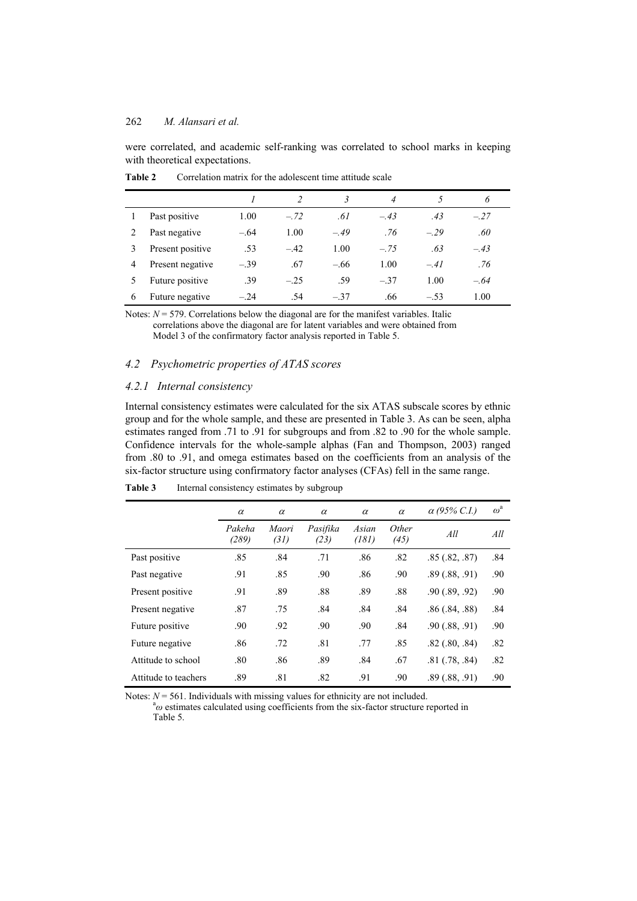were correlated, and academic self-ranking was correlated to school marks in keeping with theoretical expectations.

|   |                  |        |        | 3      | 4      |        | 6      |
|---|------------------|--------|--------|--------|--------|--------|--------|
|   | Past positive    | 1.00   | $-.72$ | .61    | $-.43$ | .43    | $-.27$ |
|   | Past negative    | $-.64$ | 1.00   | $-.49$ | .76    | $-.29$ | .60    |
|   | Present positive | .53    | $-.42$ | 1.00   | $-.75$ | .63    | $-.43$ |
| 4 | Present negative | $-.39$ | .67    | $-.66$ | 1.00   | $-.41$ | .76    |
|   | Future positive  | .39    | $-.25$ | .59    | $-.37$ | 1.00   | $-.64$ |
| 6 | Future negative  | $-.24$ | .54    | $-.37$ | .66    | $-.53$ | 1.00   |

**Table 2** Correlation matrix for the adolescent time attitude scale

Notes:  $N = 579$ . Correlations below the diagonal are for the manifest variables. Italic correlations above the diagonal are for latent variables and were obtained from Model 3 of the confirmatory factor analysis reported in Table 5.

### *4.2 Psychometric properties of ATAS scores*

### *4.2.1 Internal consistency*

Internal consistency estimates were calculated for the six ATAS subscale scores by ethnic group and for the whole sample, and these are presented in Table 3. As can be seen, alpha estimates ranged from .71 to .91 for subgroups and from .82 to .90 for the whole sample. Confidence intervals for the whole-sample alphas (Fan and Thompson, 2003) ranged from .80 to .91, and omega estimates based on the coefficients from an analysis of the six-factor structure using confirmatory factor analyses (CFAs) fell in the same range.

Table 3 Internal consistency estimates by subgroup

|                      | $\alpha$        | $\alpha$      | $\alpha$         | $\alpha$       | $\alpha$      | $\alpha$ (95% C.I.) | $\omega^a$ |
|----------------------|-----------------|---------------|------------------|----------------|---------------|---------------------|------------|
|                      | Pakeha<br>(289) | Maori<br>(31) | Pasifika<br>(23) | Asian<br>(181) | Other<br>(45) | All                 | All        |
| Past positive        | .85             | .84           | .71              | .86            | .82           | .85(.82, .87)       | .84        |
| Past negative        | .91             | .85           | .90              | .86            | .90           | .89(0.88, .91)      | .90        |
| Present positive     | .91             | .89           | .88              | .89            | .88           | .90(.89, .92)       | .90        |
| Present negative     | .87             | .75           | .84              | .84            | .84           | .86(.84, .88)       | .84        |
| Future positive      | .90             | .92           | .90              | .90            | .84           | .90(.88, .91)       | .90        |
| Future negative      | .86             | .72           | .81              | .77            | .85           | $.82$ $(.80, .84)$  | .82        |
| Attitude to school   | .80             | .86           | .89              | .84            | .67           | $.81$ (.78, .84)    | .82        |
| Attitude to teachers | .89             | .81           | .82              | .91            | .90           | .89(.88, .91)       | .90        |

Notes:  $N = 561$ . Individuals with missing values for ethnicity are not included.

a *ω* estimates calculated using coefficients from the six-factor structure reported in Table 5.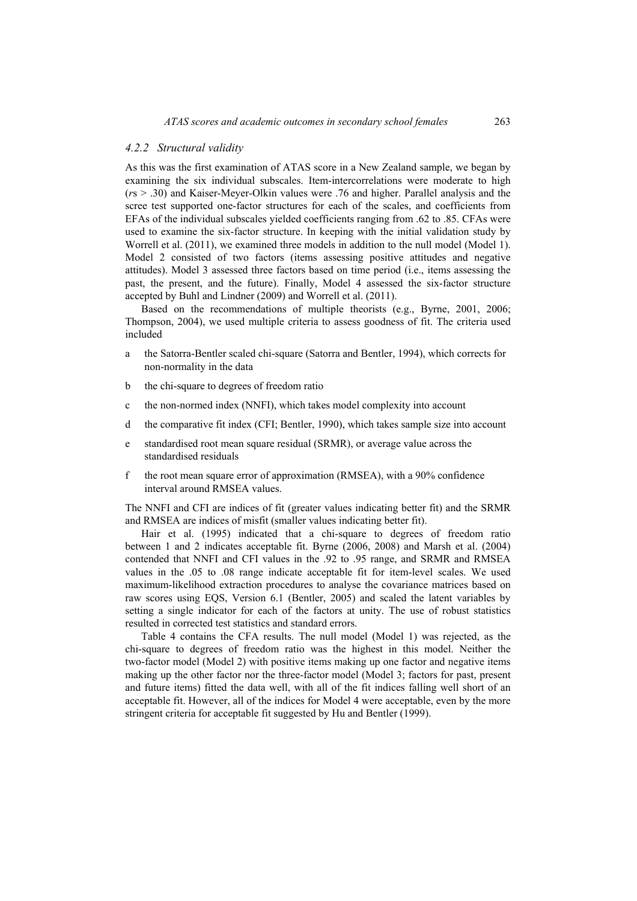### *4.2.2 Structural validity*

As this was the first examination of ATAS score in a New Zealand sample, we began by examining the six individual subscales. Item-intercorrelations were moderate to high (*r*s > .30) and Kaiser-Meyer-Olkin values were .76 and higher. Parallel analysis and the scree test supported one-factor structures for each of the scales, and coefficients from EFAs of the individual subscales yielded coefficients ranging from .62 to .85. CFAs were used to examine the six-factor structure. In keeping with the initial validation study by Worrell et al. (2011), we examined three models in addition to the null model (Model 1). Model 2 consisted of two factors (items assessing positive attitudes and negative attitudes). Model 3 assessed three factors based on time period (i.e., items assessing the past, the present, and the future). Finally, Model 4 assessed the six-factor structure accepted by Buhl and Lindner (2009) and Worrell et al. (2011).

Based on the recommendations of multiple theorists (e.g., Byrne, 2001, 2006; Thompson, 2004), we used multiple criteria to assess goodness of fit. The criteria used included

- a the Satorra-Bentler scaled chi-square (Satorra and Bentler, 1994), which corrects for non-normality in the data
- b the chi-square to degrees of freedom ratio
- c the non-normed index (NNFI), which takes model complexity into account
- d the comparative fit index (CFI; Bentler, 1990), which takes sample size into account
- e standardised root mean square residual (SRMR), or average value across the standardised residuals
- f the root mean square error of approximation (RMSEA), with a 90% confidence interval around RMSEA values.

The NNFI and CFI are indices of fit (greater values indicating better fit) and the SRMR and RMSEA are indices of misfit (smaller values indicating better fit).

Hair et al. (1995) indicated that a chi-square to degrees of freedom ratio between 1 and 2 indicates acceptable fit. Byrne (2006, 2008) and Marsh et al. (2004) contended that NNFI and CFI values in the .92 to .95 range, and SRMR and RMSEA values in the .05 to .08 range indicate acceptable fit for item-level scales. We used maximum-likelihood extraction procedures to analyse the covariance matrices based on raw scores using EQS, Version 6.1 (Bentler, 2005) and scaled the latent variables by setting a single indicator for each of the factors at unity. The use of robust statistics resulted in corrected test statistics and standard errors.

Table 4 contains the CFA results. The null model (Model 1) was rejected, as the chi-square to degrees of freedom ratio was the highest in this model. Neither the two-factor model (Model 2) with positive items making up one factor and negative items making up the other factor nor the three-factor model (Model 3; factors for past, present and future items) fitted the data well, with all of the fit indices falling well short of an acceptable fit. However, all of the indices for Model 4 were acceptable, even by the more stringent criteria for acceptable fit suggested by Hu and Bentler (1999).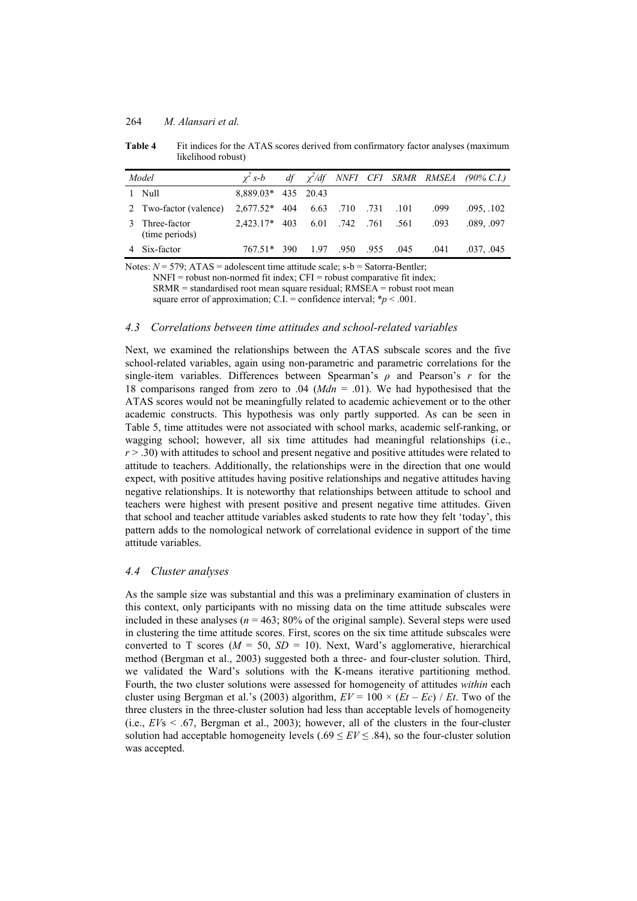**Table 4** Fit indices for the ATAS scores derived from confirmatory factor analyses (maximum likelihood robust)

| Model                          | $x^2$ s-b           |      |                     |      |      |      | $df \chi^2/df$ NNFI CFI SRMR RMSEA (90% C.I.) |
|--------------------------------|---------------------|------|---------------------|------|------|------|-----------------------------------------------|
| 1 Null                         | 8,889.03* 435 20.43 |      |                     |      |      |      |                                               |
| 2 Two-factor (valence)         | $2,677.52*$ 404     |      | 101. 731. 710. 6.63 |      |      | .099 | .095, .102                                    |
| Three-factor<br>(time periods) | $2.423.17*$ 403     |      | 6.01 .742 .761 .561 |      |      | .093 | .089097                                       |
| Six-factor                     | 767 51* 390         | 1.97 | .950                | .955 | .045 | .041 | .037, .045                                    |

Notes:  $N = 579$ ;  $ATAS =$  adolescent time attitude scale;  $s-b =$  Satorra-Bentler;

 $NNFI =$  robust non-normed fit index;  $CFI =$  robust comparative fit index;  $SRMR = standardised root mean square residual: RMSEA = robust root mean$ square error of approximation; C.I. = confidence interval;  $* p < .001$ .

### *4.3 Correlations between time attitudes and school-related variables*

Next, we examined the relationships between the ATAS subscale scores and the five school-related variables, again using non-parametric and parametric correlations for the single-item variables. Differences between Spearman's *ρ* and Pearson's *r* for the 18 comparisons ranged from zero to .04 (*Mdn* = .01). We had hypothesised that the ATAS scores would not be meaningfully related to academic achievement or to the other academic constructs. This hypothesis was only partly supported. As can be seen in Table 5, time attitudes were not associated with school marks, academic self-ranking, or wagging school; however, all six time attitudes had meaningful relationships (i.e., *r* > .30) with attitudes to school and present negative and positive attitudes were related to attitude to teachers. Additionally, the relationships were in the direction that one would expect, with positive attitudes having positive relationships and negative attitudes having negative relationships. It is noteworthy that relationships between attitude to school and teachers were highest with present positive and present negative time attitudes. Given that school and teacher attitude variables asked students to rate how they felt 'today', this pattern adds to the nomological network of correlational evidence in support of the time attitude variables.

### *4.4 Cluster analyses*

As the sample size was substantial and this was a preliminary examination of clusters in this context, only participants with no missing data on the time attitude subscales were included in these analyses ( $n = 463$ ; 80% of the original sample). Several steps were used in clustering the time attitude scores. First, scores on the six time attitude subscales were converted to T scores ( $M = 50$ ,  $SD = 10$ ). Next, Ward's agglomerative, hierarchical method (Bergman et al., 2003) suggested both a three- and four-cluster solution. Third, we validated the Ward's solutions with the K-means iterative partitioning method. Fourth, the two cluster solutions were assessed for homogeneity of attitudes *within* each cluster using Bergman et al.'s (2003) algorithm,  $EV = 100 \times (Et - Ec) / Et$ . Two of the three clusters in the three-cluster solution had less than acceptable levels of homogeneity (i.e.,  $EVs \le 0.67$ , Bergman et al., 2003); however, all of the clusters in the four-cluster solution had acceptable homogeneity levels  $(.69 \leq EV \leq .84)$ , so the four-cluster solution was accepted.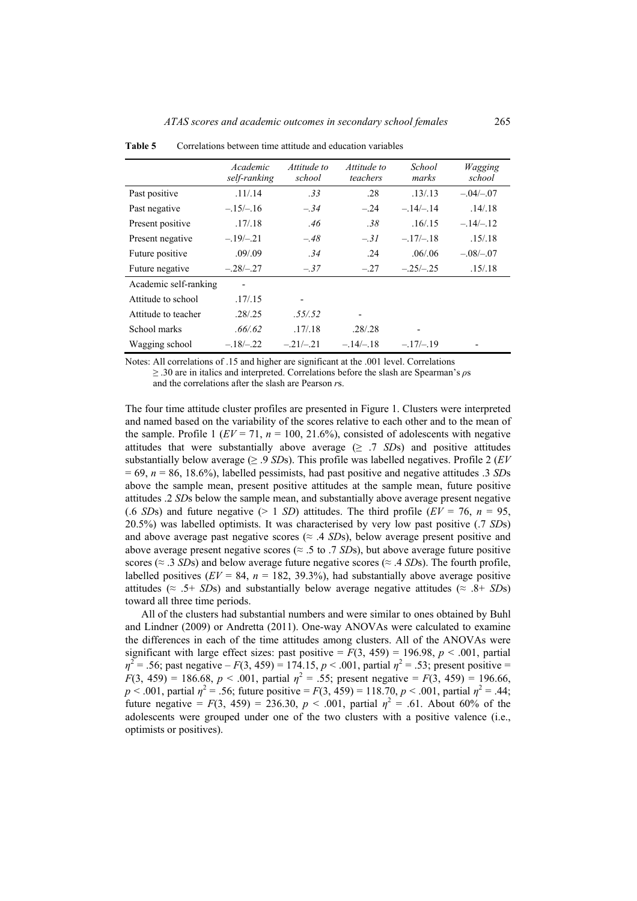|                       | Academic<br>self-ranking | Attitude to<br>school    | Attitude to<br>teachers | School<br>marks | Wagging<br>school |
|-----------------------|--------------------------|--------------------------|-------------------------|-----------------|-------------------|
| Past positive         | .11/.14                  | .33                      | .28                     | .13/.13         | $-.04/-.07$       |
| Past negative         | $-.15/-16$               | $-.34$                   | $-.24$                  | $-.14/-.14$     | .14/0.18          |
| Present positive      | .17/0.18                 | .46                      | .38                     | .16/0.15        | $-.14/-.12$       |
| Present negative      | $-.19/-.21$              | $-.48$                   | $-.31$                  | $-17/–18$       | .15/0.18          |
| Future positive       | .09/0.09                 | .34                      | .24                     | .06/0.06        | $-.08/-.07$       |
| Future negative       | $-.28/-.27$              | $-.37$                   | $-.27$                  | $-.25/-.25$     | .15/0.18          |
| Academic self-ranking |                          |                          |                         |                 |                   |
| Attitude to school    | .17/0.15                 | $\overline{\phantom{a}}$ |                         |                 |                   |
| Attitude to teacher   | .28 / .25                | .55/.52                  |                         |                 |                   |
| School marks          | .66/0.62                 | .17/0.18                 | .28/.28                 |                 |                   |
| Wagging school        | $-.18/-.22$              | $-.21/-.21$              | $-.14/-.18$             | $-.17/-.19$     |                   |

Table 5 Correlations between time attitude and education variables

Notes: All correlations of .15 and higher are significant at the .001 level. Correlations ≥ .30 are in italics and interpreted. Correlations before the slash are Spearman's *ρ*s

and the correlations after the slash are Pearson *r*s.

The four time attitude cluster profiles are presented in Figure 1. Clusters were interpreted and named based on the variability of the scores relative to each other and to the mean of the sample. Profile 1 ( $EV = 71$ ,  $n = 100$ , 21.6%), consisted of adolescents with negative attitudes that were substantially above average  $(\geq .7 \text{ } SDs)$  and positive attitudes substantially below average ( $\geq$  .9 *SDs*). This profile was labelled negatives. Profile 2 (*EV* = 69, *n* = 86, 18.6%), labelled pessimists, had past positive and negative attitudes .3 *SD*s above the sample mean, present positive attitudes at the sample mean, future positive attitudes .2 *SD*s below the sample mean, and substantially above average present negative (.6 *SDs*) and future negative ( $> 1$  *SD*) attitudes. The third profile ( $EV = 76$ ,  $n = 95$ , 20.5%) was labelled optimists. It was characterised by very low past positive (.7 *SD*s) and above average past negative scores ( $\approx$  .4 *SD*s), below average present positive and above average present negative scores ( $\approx$  .5 to .7 *SD*s), but above average future positive scores ( $\approx$  .3 *SDs*) and below average future negative scores ( $\approx$  .4 *SDs*). The fourth profile, labelled positives  $(EV = 84, n = 182, 39.3\%)$ , had substantially above average positive attitudes ( $\approx$  .5+ *SDs*) and substantially below average negative attitudes ( $\approx$  .8+ *SDs*) toward all three time periods.

All of the clusters had substantial numbers and were similar to ones obtained by Buhl and Lindner (2009) or Andretta (2011). One-way ANOVAs were calculated to examine the differences in each of the time attitudes among clusters. All of the ANOVAs were significant with large effect sizes: past positive =  $F(3, 459) = 196.98$ ,  $p < .001$ , partial  $\eta^2$  = .56; past negative – *F*(3, 459) = 174.15, *p* < .001, partial  $\eta^2$  = .53; present positive =  $F(3, 459) = 186.68$ ,  $p < .001$ , partial  $\eta^2 = .55$ ; present negative =  $F(3, 459) = 196.66$ ,  $p < .001$ , partial  $\eta^2 = .56$ ; future positive = *F*(3, 459) = 118.70, *p* < .001, partial  $\eta^2 = .44$ ; future negative =  $F(3, 459) = 236.30, p < .001$ , partial  $\eta^2 = .61$ . About 60% of the adolescents were grouped under one of the two clusters with a positive valence (i.e., optimists or positives).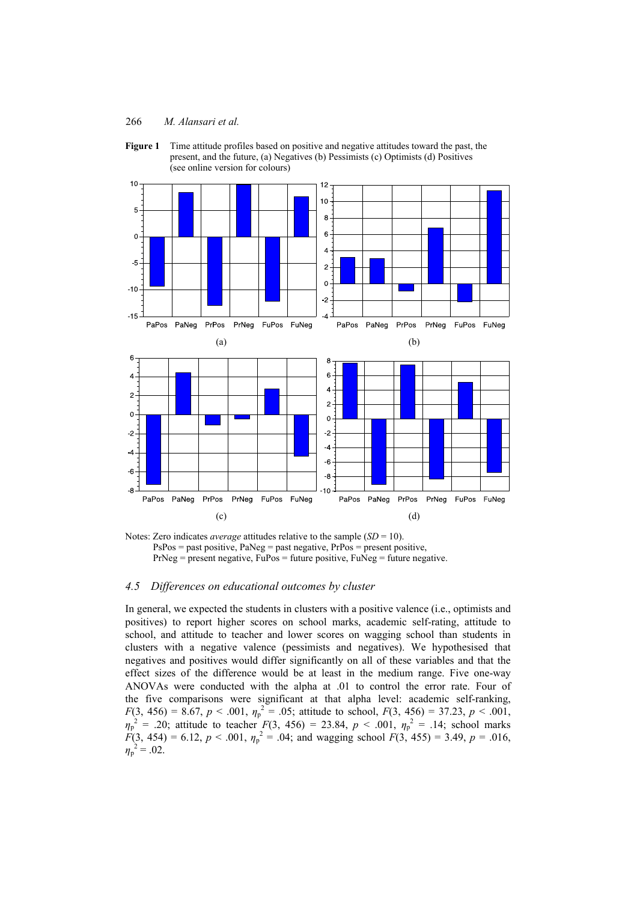



Notes: Zero indicates *average* attitudes relative to the sample (*SD* = 10). PsPos = past positive, PaNeg = past negative, PrPos = present positive,  $PrNeg = present negative$ ,  $FuPos = future positive$ ,  $FuNeg = future negative$ .

### *4.5 Differences on educational outcomes by cluster*

In general, we expected the students in clusters with a positive valence (i.e., optimists and positives) to report higher scores on school marks, academic self-rating, attitude to school, and attitude to teacher and lower scores on wagging school than students in clusters with a negative valence (pessimists and negatives). We hypothesised that negatives and positives would differ significantly on all of these variables and that the effect sizes of the difference would be at least in the medium range. Five one-way ANOVAs were conducted with the alpha at .01 to control the error rate. Four of the five comparisons were significant at that alpha level: academic self-ranking, *F*(3, 456) = 8.67, *p* < .001,  $\eta_p^2$  = .05; attitude to school, *F*(3, 456) = 37.23, *p* < .001,  $\eta_p^2$  = .20; attitude to teacher *F*(3, 456) = 23.84, *p* < .001,  $\eta_p^2$  = .14; school marks  $F(3, 454) = 6.12, p < .001, \eta_p^2 = .04$ ; and wagging school  $F(3, 455) = 3.49, p = .016$ ,  $\eta_p^2 = .02$ .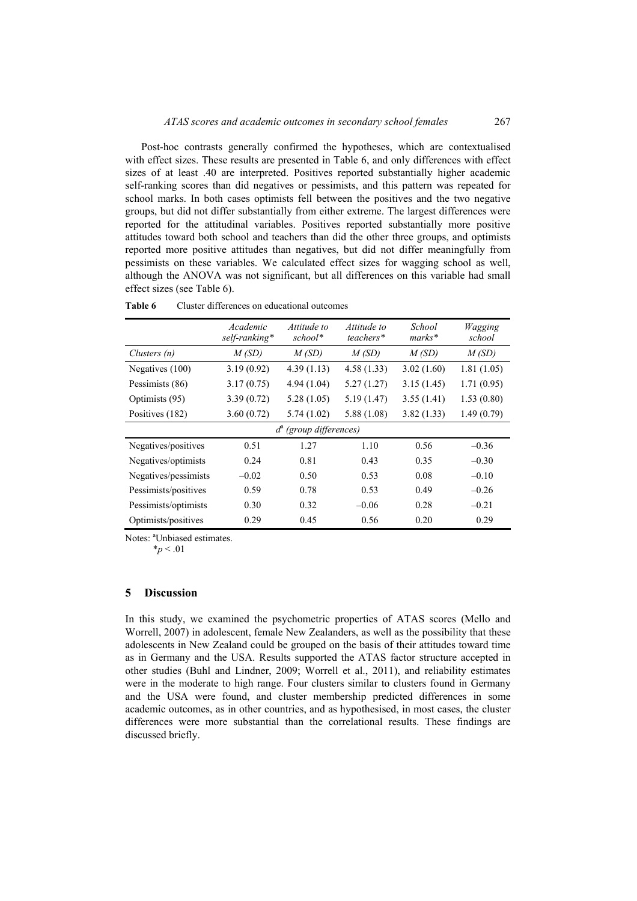Post-hoc contrasts generally confirmed the hypotheses, which are contextualised with effect sizes. These results are presented in Table 6, and only differences with effect sizes of at least .40 are interpreted. Positives reported substantially higher academic self-ranking scores than did negatives or pessimists, and this pattern was repeated for school marks. In both cases optimists fell between the positives and the two negative groups, but did not differ substantially from either extreme. The largest differences were reported for the attitudinal variables. Positives reported substantially more positive attitudes toward both school and teachers than did the other three groups, and optimists reported more positive attitudes than negatives, but did not differ meaningfully from pessimists on these variables. We calculated effect sizes for wagging school as well, although the ANOVA was not significant, but all differences on this variable had small effect sizes (see Table 6).

|                      | Academic<br>self-ranking* | Attitude to<br>$school^*$ | Attitude to<br>teachers* | School<br>$marks*$ | Wagging<br>school |
|----------------------|---------------------------|---------------------------|--------------------------|--------------------|-------------------|
| Clusters $(n)$       | M(SD)                     | M(SD)                     | M(SD)                    | M(SD)              | M(SD)             |
| Negatives (100)      | 3.19(0.92)                | 4.39(1.13)                | 4.58(1.33)               | 3.02(1.60)         | 1.81(1.05)        |
| Pessimists (86)      | 3.17(0.75)                | 4.94(1.04)                | 5.27(1.27)               | 3.15(1.45)         | 1.71(0.95)        |
| Optimists (95)       | 3.39(0.72)                | 5.28(1.05)                | 5.19(1.47)               | 3.55(1.41)         | 1.53(0.80)        |
| Positives (182)      | 3.60(0.72)                | 5.74(1.02)                | 5.88(1.08)               | 3.82(1.33)         | 1.49(0.79)        |
|                      |                           | $d^a$ (group differences) |                          |                    |                   |
| Negatives/positives  | 0.51                      | 1.27                      | 1.10                     | 0.56               | $-0.36$           |
| Negatives/optimists  | 0.24                      | 0.81                      | 0.43                     | 0.35               | $-0.30$           |
| Negatives/pessimists | $-0.02$                   | 0.50                      | 0.53                     | 0.08               | $-0.10$           |
| Pessimists/positives | 0.59                      | 0.78                      | 0.53                     | 0.49               | $-0.26$           |
| Pessimists/optimists | 0.30                      | 0.32                      | $-0.06$                  | 0.28               | $-0.21$           |
| Optimists/positives  | 0.29                      | 0.45                      | 0.56                     | 0.20               | 0.29              |

| <b>Table 6</b> |  |  | Cluster differences on educational outcomes |  |
|----------------|--|--|---------------------------------------------|--|
|----------------|--|--|---------------------------------------------|--|

Notes: <sup>a</sup>Unbiased estimates.

 $*_{p}$  < .01

### **5 Discussion**

In this study, we examined the psychometric properties of ATAS scores (Mello and Worrell, 2007) in adolescent, female New Zealanders, as well as the possibility that these adolescents in New Zealand could be grouped on the basis of their attitudes toward time as in Germany and the USA. Results supported the ATAS factor structure accepted in other studies (Buhl and Lindner, 2009; Worrell et al., 2011), and reliability estimates were in the moderate to high range. Four clusters similar to clusters found in Germany and the USA were found, and cluster membership predicted differences in some academic outcomes, as in other countries, and as hypothesised, in most cases, the cluster differences were more substantial than the correlational results. These findings are discussed briefly.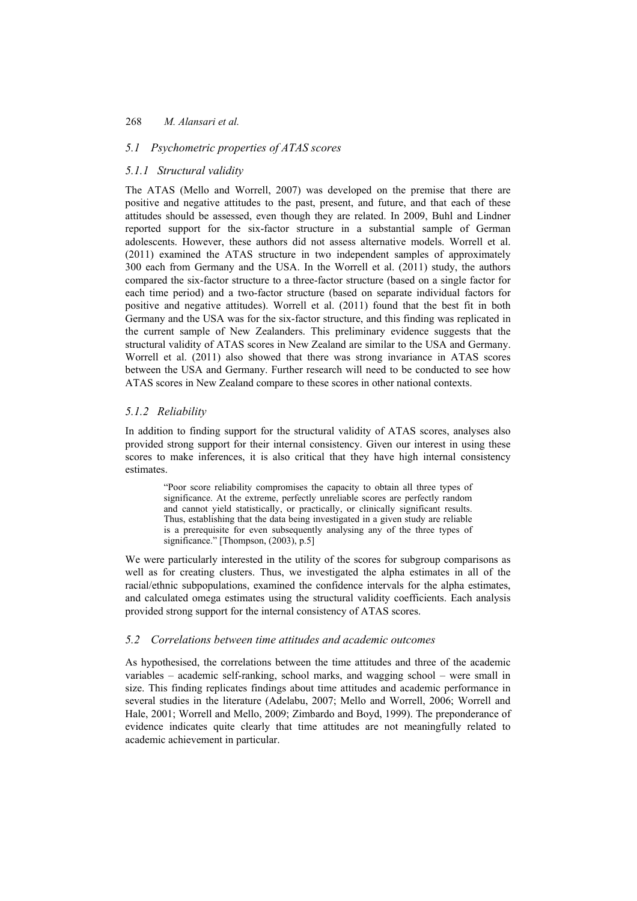## *5.1 Psychometric properties of ATAS scores*

# *5.1.1 Structural validity*

The ATAS (Mello and Worrell, 2007) was developed on the premise that there are positive and negative attitudes to the past, present, and future, and that each of these attitudes should be assessed, even though they are related. In 2009, Buhl and Lindner reported support for the six-factor structure in a substantial sample of German adolescents. However, these authors did not assess alternative models. Worrell et al. (2011) examined the ATAS structure in two independent samples of approximately 300 each from Germany and the USA. In the Worrell et al. (2011) study, the authors compared the six-factor structure to a three-factor structure (based on a single factor for each time period) and a two-factor structure (based on separate individual factors for positive and negative attitudes). Worrell et al. (2011) found that the best fit in both Germany and the USA was for the six-factor structure, and this finding was replicated in the current sample of New Zealanders. This preliminary evidence suggests that the structural validity of ATAS scores in New Zealand are similar to the USA and Germany. Worrell et al. (2011) also showed that there was strong invariance in ATAS scores between the USA and Germany. Further research will need to be conducted to see how ATAS scores in New Zealand compare to these scores in other national contexts.

#### *5.1.2 Reliability*

In addition to finding support for the structural validity of ATAS scores, analyses also provided strong support for their internal consistency. Given our interest in using these scores to make inferences, it is also critical that they have high internal consistency estimates.

"Poor score reliability compromises the capacity to obtain all three types of significance. At the extreme, perfectly unreliable scores are perfectly random and cannot yield statistically, or practically, or clinically significant results. Thus, establishing that the data being investigated in a given study are reliable is a prerequisite for even subsequently analysing any of the three types of significance." [Thompson, (2003), p.5]

We were particularly interested in the utility of the scores for subgroup comparisons as well as for creating clusters. Thus, we investigated the alpha estimates in all of the racial/ethnic subpopulations, examined the confidence intervals for the alpha estimates, and calculated omega estimates using the structural validity coefficients. Each analysis provided strong support for the internal consistency of ATAS scores.

## *5.2 Correlations between time attitudes and academic outcomes*

As hypothesised, the correlations between the time attitudes and three of the academic variables – academic self-ranking, school marks, and wagging school – were small in size. This finding replicates findings about time attitudes and academic performance in several studies in the literature (Adelabu, 2007; Mello and Worrell, 2006; Worrell and Hale, 2001; Worrell and Mello, 2009; Zimbardo and Boyd, 1999). The preponderance of evidence indicates quite clearly that time attitudes are not meaningfully related to academic achievement in particular.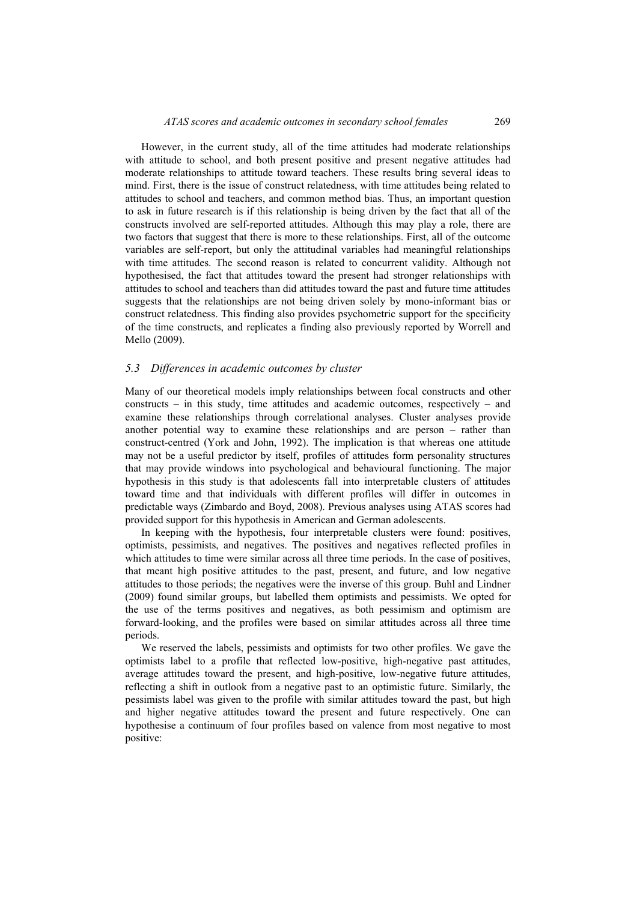However, in the current study, all of the time attitudes had moderate relationships with attitude to school, and both present positive and present negative attitudes had moderate relationships to attitude toward teachers. These results bring several ideas to mind. First, there is the issue of construct relatedness, with time attitudes being related to attitudes to school and teachers, and common method bias. Thus, an important question to ask in future research is if this relationship is being driven by the fact that all of the constructs involved are self-reported attitudes. Although this may play a role, there are two factors that suggest that there is more to these relationships. First, all of the outcome variables are self-report, but only the attitudinal variables had meaningful relationships with time attitudes. The second reason is related to concurrent validity. Although not hypothesised, the fact that attitudes toward the present had stronger relationships with attitudes to school and teachers than did attitudes toward the past and future time attitudes suggests that the relationships are not being driven solely by mono-informant bias or construct relatedness. This finding also provides psychometric support for the specificity of the time constructs, and replicates a finding also previously reported by Worrell and Mello (2009).

### *5.3 Differences in academic outcomes by cluster*

Many of our theoretical models imply relationships between focal constructs and other constructs – in this study, time attitudes and academic outcomes, respectively – and examine these relationships through correlational analyses. Cluster analyses provide another potential way to examine these relationships and are person – rather than construct-centred (York and John, 1992). The implication is that whereas one attitude may not be a useful predictor by itself, profiles of attitudes form personality structures that may provide windows into psychological and behavioural functioning. The major hypothesis in this study is that adolescents fall into interpretable clusters of attitudes toward time and that individuals with different profiles will differ in outcomes in predictable ways (Zimbardo and Boyd, 2008). Previous analyses using ATAS scores had provided support for this hypothesis in American and German adolescents.

In keeping with the hypothesis, four interpretable clusters were found: positives, optimists, pessimists, and negatives. The positives and negatives reflected profiles in which attitudes to time were similar across all three time periods. In the case of positives, that meant high positive attitudes to the past, present, and future, and low negative attitudes to those periods; the negatives were the inverse of this group. Buhl and Lindner (2009) found similar groups, but labelled them optimists and pessimists. We opted for the use of the terms positives and negatives, as both pessimism and optimism are forward-looking, and the profiles were based on similar attitudes across all three time periods.

We reserved the labels, pessimists and optimists for two other profiles. We gave the optimists label to a profile that reflected low-positive, high-negative past attitudes, average attitudes toward the present, and high-positive, low-negative future attitudes, reflecting a shift in outlook from a negative past to an optimistic future. Similarly, the pessimists label was given to the profile with similar attitudes toward the past, but high and higher negative attitudes toward the present and future respectively. One can hypothesise a continuum of four profiles based on valence from most negative to most positive: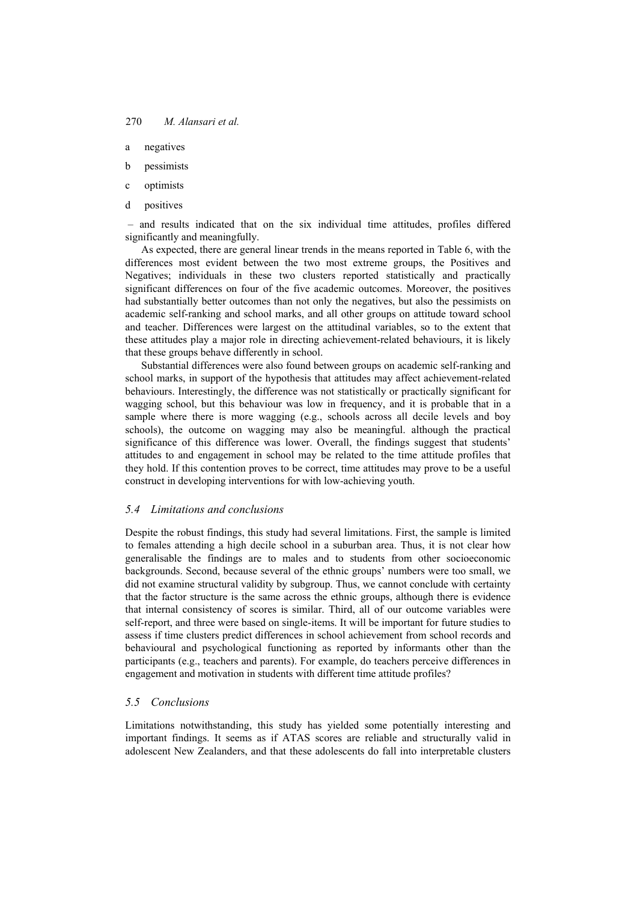- a negatives
- b pessimists
- c optimists
- d positives

 – and results indicated that on the six individual time attitudes, profiles differed significantly and meaningfully.

As expected, there are general linear trends in the means reported in Table 6, with the differences most evident between the two most extreme groups, the Positives and Negatives; individuals in these two clusters reported statistically and practically significant differences on four of the five academic outcomes. Moreover, the positives had substantially better outcomes than not only the negatives, but also the pessimists on academic self-ranking and school marks, and all other groups on attitude toward school and teacher. Differences were largest on the attitudinal variables, so to the extent that these attitudes play a major role in directing achievement-related behaviours, it is likely that these groups behave differently in school.

Substantial differences were also found between groups on academic self-ranking and school marks, in support of the hypothesis that attitudes may affect achievement-related behaviours. Interestingly, the difference was not statistically or practically significant for wagging school, but this behaviour was low in frequency, and it is probable that in a sample where there is more wagging (e.g., schools across all decile levels and boy schools), the outcome on wagging may also be meaningful. although the practical significance of this difference was lower. Overall, the findings suggest that students' attitudes to and engagement in school may be related to the time attitude profiles that they hold. If this contention proves to be correct, time attitudes may prove to be a useful construct in developing interventions for with low-achieving youth.

### *5.4 Limitations and conclusions*

Despite the robust findings, this study had several limitations. First, the sample is limited to females attending a high decile school in a suburban area. Thus, it is not clear how generalisable the findings are to males and to students from other socioeconomic backgrounds. Second, because several of the ethnic groups' numbers were too small, we did not examine structural validity by subgroup. Thus, we cannot conclude with certainty that the factor structure is the same across the ethnic groups, although there is evidence that internal consistency of scores is similar. Third, all of our outcome variables were self-report, and three were based on single-items. It will be important for future studies to assess if time clusters predict differences in school achievement from school records and behavioural and psychological functioning as reported by informants other than the participants (e.g., teachers and parents). For example, do teachers perceive differences in engagement and motivation in students with different time attitude profiles?

### *5.5 Conclusions*

Limitations notwithstanding, this study has yielded some potentially interesting and important findings. It seems as if ATAS scores are reliable and structurally valid in adolescent New Zealanders, and that these adolescents do fall into interpretable clusters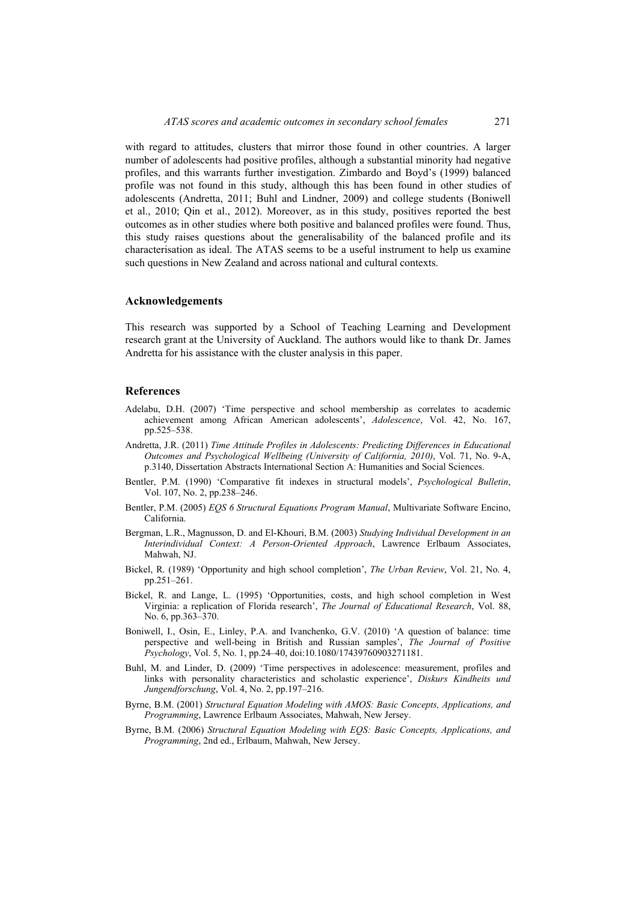with regard to attitudes, clusters that mirror those found in other countries. A larger number of adolescents had positive profiles, although a substantial minority had negative profiles, and this warrants further investigation. Zimbardo and Boyd's (1999) balanced profile was not found in this study, although this has been found in other studies of adolescents (Andretta, 2011; Buhl and Lindner, 2009) and college students (Boniwell et al., 2010; Qin et al., 2012). Moreover, as in this study, positives reported the best outcomes as in other studies where both positive and balanced profiles were found. Thus, this study raises questions about the generalisability of the balanced profile and its characterisation as ideal. The ATAS seems to be a useful instrument to help us examine such questions in New Zealand and across national and cultural contexts.

### **Acknowledgements**

This research was supported by a School of Teaching Learning and Development research grant at the University of Auckland. The authors would like to thank Dr. James Andretta for his assistance with the cluster analysis in this paper.

### **References**

- Adelabu, D.H. (2007) 'Time perspective and school membership as correlates to academic achievement among African American adolescents', *Adolescence*, Vol. 42, No. 167, pp.525–538.
- Andretta, J.R. (2011) *Time Attitude Profiles in Adolescents: Predicting Differences in Educational Outcomes and Psychological Wellbeing (University of California, 2010)*, Vol. 71, No. 9-A, p.3140, Dissertation Abstracts International Section A: Humanities and Social Sciences.
- Bentler, P.M. (1990) 'Comparative fit indexes in structural models', *Psychological Bulletin*, Vol. 107, No. 2, pp.238–246.
- Bentler, P.M. (2005) *EQS 6 Structural Equations Program Manual*, Multivariate Software Encino, California.
- Bergman, L.R., Magnusson, D. and El-Khouri, B.M. (2003) *Studying Individual Development in an Interindividual Context: A Person-Oriented Approach*, Lawrence Erlbaum Associates, Mahwah, NJ.
- Bickel, R. (1989) 'Opportunity and high school completion', *The Urban Review*, Vol. 21, No. 4, pp.251–261.
- Bickel, R. and Lange, L. (1995) 'Opportunities, costs, and high school completion in West Virginia: a replication of Florida research', *The Journal of Educational Research*, Vol. 88, No. 6, pp.363–370.
- Boniwell, I., Osin, E., Linley, P.A. and Ivanchenko, G.V. (2010) 'A question of balance: time perspective and well-being in British and Russian samples', *The Journal of Positive Psychology*, Vol. 5, No. 1, pp.24–40, doi:10.1080/17439760903271181.
- Buhl, M. and Linder, D. (2009) 'Time perspectives in adolescence: measurement, profiles and links with personality characteristics and scholastic experience', *Diskurs Kindheits und Jungendforschung*, Vol. 4, No. 2, pp.197–216.
- Byrne, B.M. (2001) *Structural Equation Modeling with AMOS: Basic Concepts, Applications, and Programming*, Lawrence Erlbaum Associates, Mahwah, New Jersey.
- Byrne, B.M. (2006) *Structural Equation Modeling with EQS: Basic Concepts, Applications, and Programming*, 2nd ed., Erlbaum, Mahwah, New Jersey.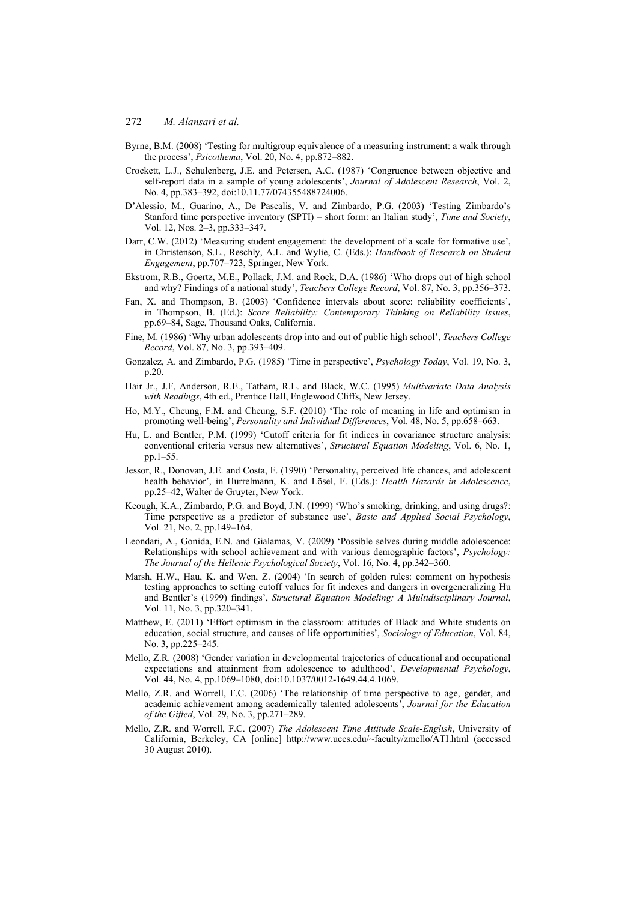- Byrne, B.M. (2008) 'Testing for multigroup equivalence of a measuring instrument: a walk through the process', *Psicothema*, Vol. 20, No. 4, pp.872–882.
- Crockett, L.J., Schulenberg, J.E. and Petersen, A.C. (1987) 'Congruence between objective and self-report data in a sample of young adolescents', *Journal of Adolescent Research*, Vol. 2, No. 4, pp.383–392, doi:10.11.77/074355488724006.
- D'Alessio, M., Guarino, A., De Pascalis, V. and Zimbardo, P.G. (2003) 'Testing Zimbardo's Stanford time perspective inventory (SPTI) – short form: an Italian study', *Time and Society*, Vol. 12, Nos. 2–3, pp.333–347.
- Darr, C.W. (2012) 'Measuring student engagement: the development of a scale for formative use', in Christenson, S.L., Reschly, A.L. and Wylie, C. (Eds.): *Handbook of Research on Student Engagement*, pp.707–723, Springer, New York.
- Ekstrom, R.B., Goertz, M.E., Pollack, J.M. and Rock, D.A. (1986) 'Who drops out of high school and why? Findings of a national study', *Teachers College Record*, Vol. 87, No. 3, pp.356–373.
- Fan, X. and Thompson, B. (2003) 'Confidence intervals about score: reliability coefficients', in Thompson, B. (Ed.): *Score Reliability: Contemporary Thinking on Reliability Issues*, pp.69–84, Sage, Thousand Oaks, California.
- Fine, M. (1986) 'Why urban adolescents drop into and out of public high school', *Teachers College Record*, Vol. 87, No. 3, pp.393–409.
- Gonzalez, A. and Zimbardo, P.G. (1985) 'Time in perspective', *Psychology Today*, Vol. 19, No. 3, p.20.
- Hair Jr., J.F, Anderson, R.E., Tatham, R.L. and Black, W.C. (1995) *Multivariate Data Analysis with Readings*, 4th ed., Prentice Hall, Englewood Cliffs, New Jersey.
- Ho, M.Y., Cheung, F.M. and Cheung, S.F. (2010) 'The role of meaning in life and optimism in promoting well-being', *Personality and Individual Differences*, Vol. 48, No. 5, pp.658–663.
- Hu, L. and Bentler, P.M. (1999) 'Cutoff criteria for fit indices in covariance structure analysis: conventional criteria versus new alternatives', *Structural Equation Modeling*, Vol. 6, No. 1, pp.1–55.
- Jessor, R., Donovan, J.E. and Costa, F. (1990) 'Personality, perceived life chances, and adolescent health behavior', in Hurrelmann, K. and Lösel, F. (Eds.): *Health Hazards in Adolescence*, pp.25–42, Walter de Gruyter, New York.
- Keough, K.A., Zimbardo, P.G. and Boyd, J.N. (1999) 'Who's smoking, drinking, and using drugs?: Time perspective as a predictor of substance use', *Basic and Applied Social Psychology*, Vol. 21, No. 2, pp.149–164.
- Leondari, A., Gonida, E.N. and Gialamas, V. (2009) 'Possible selves during middle adolescence: Relationships with school achievement and with various demographic factors', *Psychology: The Journal of the Hellenic Psychological Society*, Vol. 16, No. 4, pp.342–360.
- Marsh, H.W., Hau, K. and Wen, Z. (2004) 'In search of golden rules: comment on hypothesis testing approaches to setting cutoff values for fit indexes and dangers in overgeneralizing Hu and Bentler's (1999) findings', *Structural Equation Modeling: A Multidisciplinary Journal*, Vol. 11, No. 3, pp.320–341.
- Matthew, E. (2011) 'Effort optimism in the classroom: attitudes of Black and White students on education, social structure, and causes of life opportunities', *Sociology of Education*, Vol. 84, No. 3, pp.225–245.
- Mello, Z.R. (2008) 'Gender variation in developmental trajectories of educational and occupational expectations and attainment from adolescence to adulthood', *Developmental Psychology*, Vol. 44, No. 4, pp.1069–1080, doi:10.1037/0012-1649.44.4.1069.
- Mello, Z.R. and Worrell, F.C. (2006) 'The relationship of time perspective to age, gender, and academic achievement among academically talented adolescents', *Journal for the Education of the Gifted*, Vol. 29, No. 3, pp.271–289.
- Mello, Z.R. and Worrell, F.C. (2007) *The Adolescent Time Attitude Scale-English*, University of California, Berkeley, CA [online] http://www.uccs.edu/~faculty/zmello/ATI.html (accessed 30 August 2010).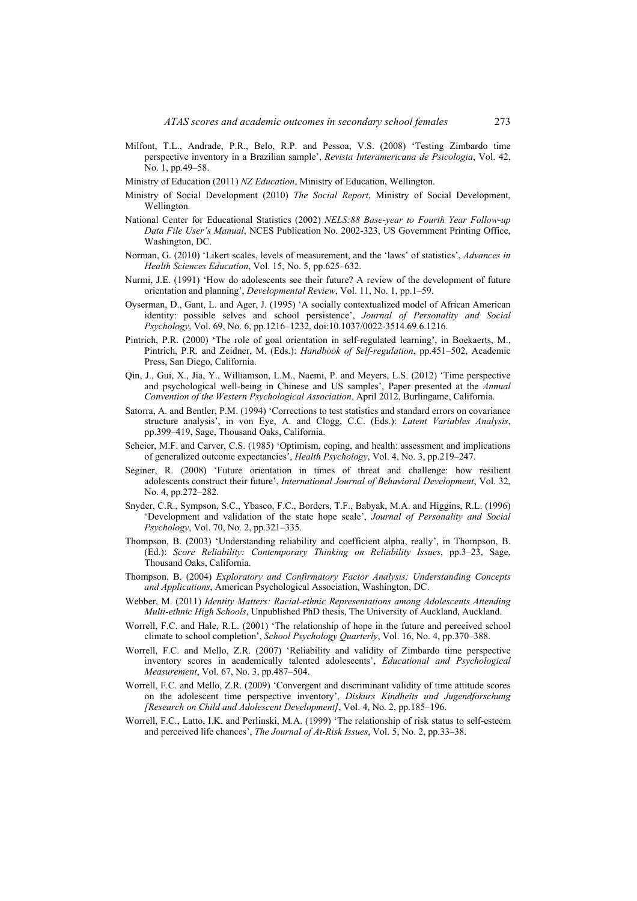- Milfont, T.L., Andrade, P.R., Belo, R.P. and Pessoa, V.S. (2008) 'Testing Zimbardo time perspective inventory in a Brazilian sample', *Revista Interamericana de Psicologia*, Vol. 42, No. 1, pp.49–58.
- Ministry of Education (2011) *NZ Education*, Ministry of Education, Wellington.
- Ministry of Social Development (2010) *The Social Report*, Ministry of Social Development, Wellington.
- National Center for Educational Statistics (2002) *NELS:88 Base-year to Fourth Year Follow-up Data File User's Manual*, NCES Publication No. 2002-323, US Government Printing Office, Washington, DC.
- Norman, G. (2010) 'Likert scales, levels of measurement, and the 'laws' of statistics', *Advances in Health Sciences Education*, Vol. 15, No. 5, pp.625–632.
- Nurmi, J.E. (1991) 'How do adolescents see their future? A review of the development of future orientation and planning', *Developmental Review*, Vol. 11, No. 1, pp.1–59.
- Oyserman, D., Gant, L. and Ager, J. (1995) 'A socially contextualized model of African American identity: possible selves and school persistence', *Journal of Personality and Social Psychology*, Vol. 69, No. 6, pp.1216–1232, doi:10.1037/0022-3514.69.6.1216.
- Pintrich, P.R. (2000) 'The role of goal orientation in self-regulated learning', in Boekaerts, M., Pintrich, P.R. and Zeidner, M. (Eds.): *Handbook of Self-regulation*, pp.451–502, Academic Press, San Diego, California.
- Qin, J., Gui, X., Jia, Y., Williamson, L.M., Naemi, P. and Meyers, L.S. (2012) 'Time perspective and psychological well-being in Chinese and US samples', Paper presented at the *Annual Convention of the Western Psychological Association*, April 2012, Burlingame, California.
- Satorra, A. and Bentler, P.M. (1994) 'Corrections to test statistics and standard errors on covariance structure analysis', in von Eye, A. and Clogg, C.C. (Eds.): *Latent Variables Analysis*, pp.399–419, Sage, Thousand Oaks, California.
- Scheier, M.F. and Carver, C.S. (1985) 'Optimism, coping, and health: assessment and implications of generalized outcome expectancies', *Health Psychology*, Vol. 4, No. 3, pp.219–247.
- Seginer, R. (2008) 'Future orientation in times of threat and challenge: how resilient adolescents construct their future', *International Journal of Behavioral Development*, Vol. 32, No. 4, pp.272–282.
- Snyder, C.R., Sympson, S.C., Ybasco, F.C., Borders, T.F., Babyak, M.A. and Higgins, R.L. (1996) 'Development and validation of the state hope scale', *Journal of Personality and Social Psychology*, Vol. 70, No. 2, pp.321–335.
- Thompson, B. (2003) 'Understanding reliability and coefficient alpha, really', in Thompson, B. (Ed.): *Score Reliability: Contemporary Thinking on Reliability Issues*, pp.3–23, Sage, Thousand Oaks, California.
- Thompson, B. (2004) *Exploratory and Confirmatory Factor Analysis: Understanding Concepts and Applications*, American Psychological Association, Washington, DC.
- Webber, M. (2011) *Identity Matters: Racial-ethnic Representations among Adolescents Attending Multi-ethnic High Schools*, Unpublished PhD thesis, The University of Auckland, Auckland.
- Worrell, F.C. and Hale, R.L. (2001) 'The relationship of hope in the future and perceived school climate to school completion', *School Psychology Quarterly*, Vol. 16, No. 4, pp.370–388.
- Worrell, F.C. and Mello, Z.R. (2007) 'Reliability and validity of Zimbardo time perspective inventory scores in academically talented adolescents', *Educational and Psychological Measurement*, Vol. 67, No. 3, pp.487–504.
- Worrell, F.C. and Mello, Z.R. (2009) 'Convergent and discriminant validity of time attitude scores on the adolescent time perspective inventory', *Diskurs Kindheits und Jugendforschung [Research on Child and Adolescent Development]*, Vol. 4, No. 2, pp.185–196.
- Worrell, F.C., Latto, I.K. and Perlinski, M.A. (1999) 'The relationship of risk status to self-esteem and perceived life chances', *The Journal of At-Risk Issues*, Vol. 5, No. 2, pp.33–38.